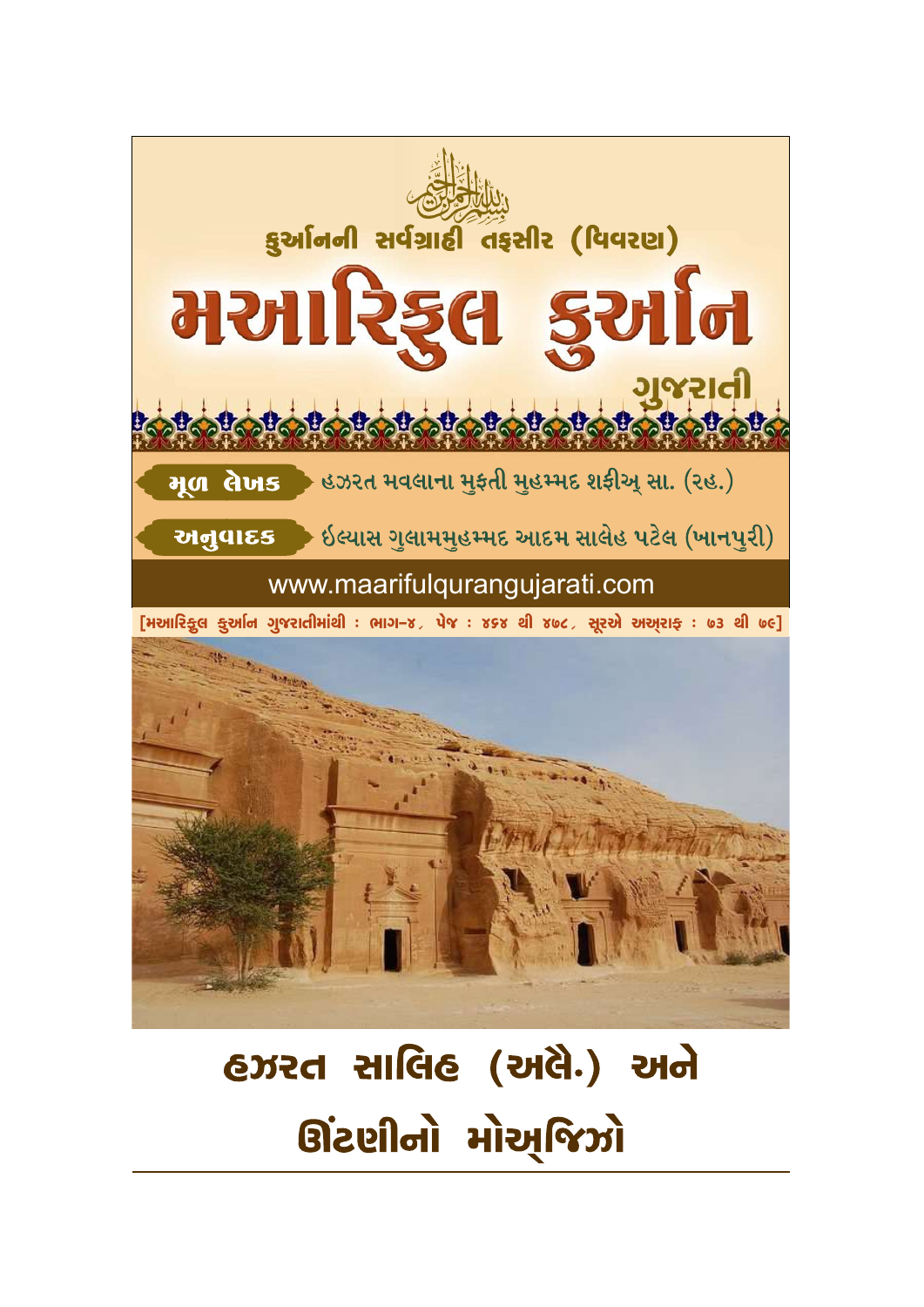

# હઝરત સાલિહ (અલેે.) અને शिंटણीनो मोसुष्क्रियो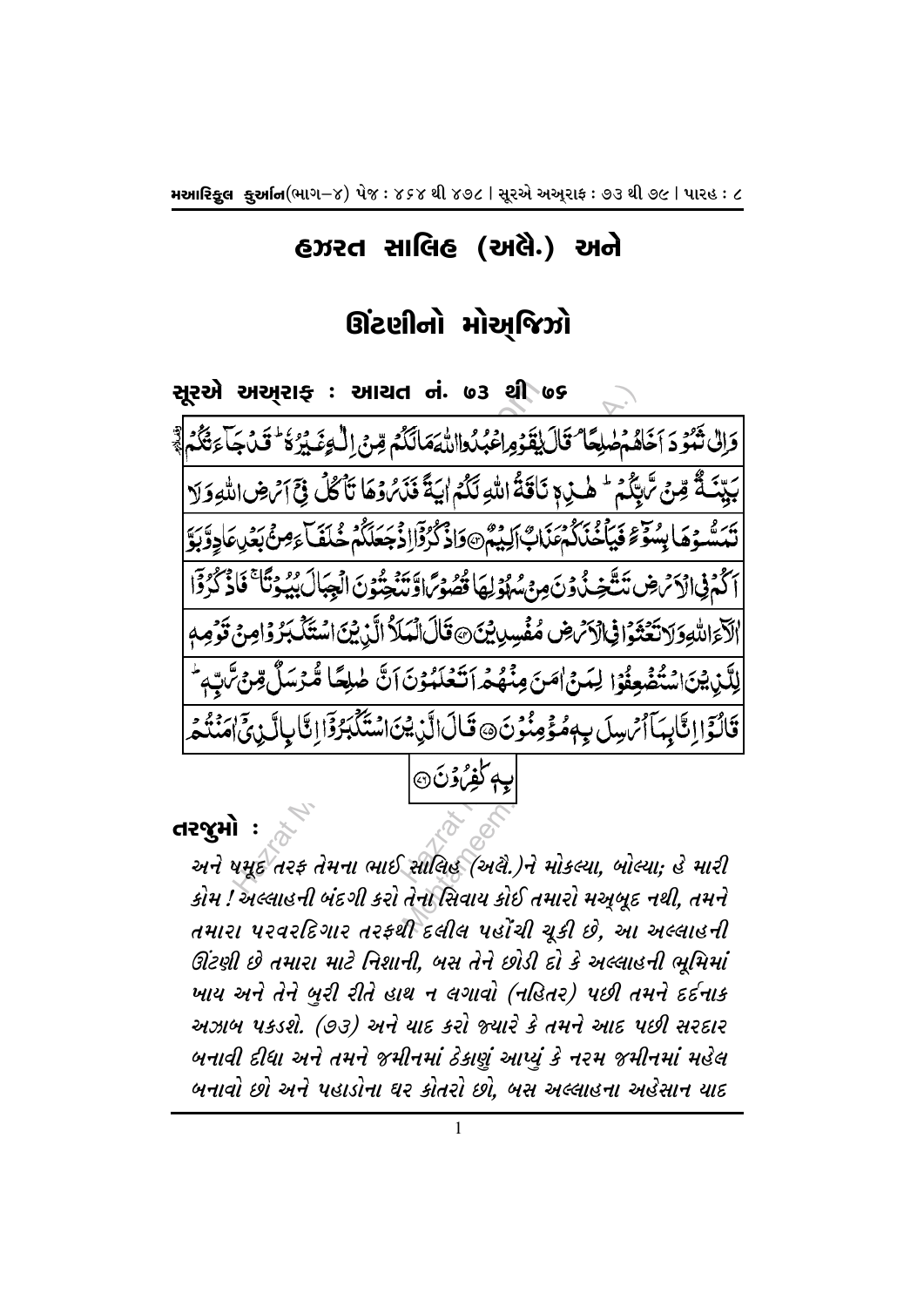## હઝરત સાલિહ (અલેે.) અને

## ઊંટણીનો મોઅજિઝો

સૂરએ અઅ્રરાફ : આચત નં. ७૩ થી ७૬ وَإِنَّ ثَمَّوْدَ أَخَاهُمْ صَلِحًا ۖ قَالَ يُقَوِّمِ اعْبُدُوااللَّهُ مَالَكُمْ قِنَّ إِلَّـ وَغَيْرَةً فَحَديثه بَيِّدَةٌ قِنْ تَّاتِكُمْ لَهِ فَيْ لَا تَأْتُمُ اللَّهِ لَكُمُ إِيَةً فَذَبَرُوهَا تَأْكُلُ فِيَٓ إَمْ ضِ اللهِ وَلَا تَبَسُّوْهَا بِسُوَّءَ فَيَأْخُذُكُمْ مَذَابٌ إَلِيْمٌ @وَاذْ كُرُوآا ذُجِعَلَكُمْ خُلَفَيْ ءَمِنْ بَعُدِيمَادِوَّبَوَّ أَكُمْ فِي الْأَمْ ضِ نَنْتَخِذُ وَنَ مِنْ مُؤْلِهَا قُصُومً اوَّنَذَ يُؤْنَ الْجِبَالَ بِيُونَا ۚ فَاذْ كُرْوَا ٚٳڷٳٵۺۨٷڒ۩ؾڠؿؘۅ۬ٳڣۣٳڷۯػ؈ڞڡؙٞڛۑؽؽ۞ڦڶڶٳڷؠؘۮٵڷۑ۬ؽؽٵ*ۺ*ؾؘؘڷؠڗۢۏٳڝؽٷؘڡۭ لِلَّيْنِ يُنَ اسْتُفْعِفُوْا لِمَنْ اِمَنَ مِنْهُمْ اَتَعْلَمُوْنَ اَنَّ طٰلِعًا مُّرْسَلٌ قِنْ تَّابِّه قَالُوَۤٳٳٮ۠ۤۜٳؠٮؘٲٲٮۡڛؚڸؘ؋۪ڡؙۏٙڡۣڹؙؗۅ؈ؘقَاڷٳڷۜڹۣؿؽؘٳۺؾؘؘڷؠڗؙۏٙٳٳٮؾٓٳڽٳڷۑ۬؈ۜٞٳڡڹؿ۠ۄ ∣بەكفۇق©

તરજુમો :

અને ષમૂદ તરફ તેમના ભાઈ સાલિહ (અલે.)ને મોકલ્યા, બોલ્યા; હે મારી કોમ ! અલ્લાહની બંદગી કરો તેના સિવાય કોઈ તમારો મઅબૂદ નથી, તમને તમારા પરવરદિગાર તરફથી દલીલ પહોંચી ચુકી છે. આ અલ્લાહની ઊંટણી છે તમારા માટે નિશાની, બસ તેને છોડી દો કે અલ્લાહની ભૂમિમાં ખાય અને તેને બુરી રીતે હાથ ન લગાવો (નહિતર) પછી તમને દર્દનાક અઝાબ પકડશે. (૭૩) અને યાદ કરો જ્યારે કે તમને આદ પછી સરદાર બનાવી દીધા અને તમને જમીનમાં ઠેકાણું આપ્યું કે નરમ જમીનમાં મહેલ બનાવો છો અને પહાડોના ઘર કોતરો છો. બસ અલ્લાહના અહેસાન યાદ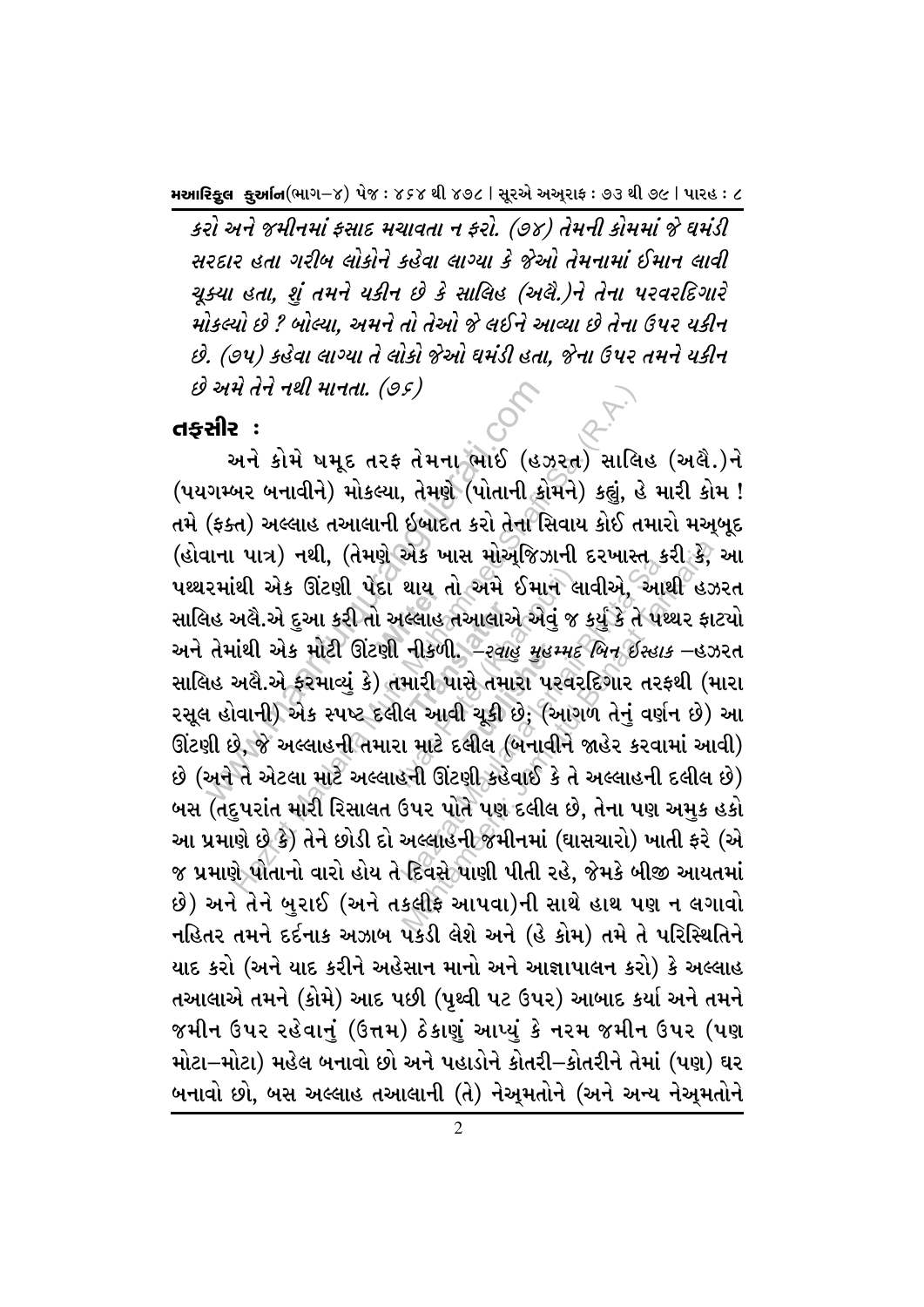મઆરિકુલ કુર્આન(ભાગ-૪) પેજઃ ૪*૬*૪ થી ૪૭૮ | સૂરએ અઅ્રાફ : ૭૩ થી ૭૯ | પારહ : ૮

કરો અને જમીનમાં ફસાદ મચાવતા ન ફરો. (૭૪) તેમની કોમમાં જે ઘમંડી સરદાર હતા ગરીબ લોકોને કહેવા લાગ્યા કે જેઓ તેમનામાં ઈમાન લાવી ચુક્યા હતા, શં તમને યકીન છે કે સાલિહ (અલૈ.)ને તેના પરવરદિગારે મોકલ્યો છે ? બોલ્યા. અમને તો તેઓ જે લઈને આવ્યા છે તેના ઉપર યકીન છે. (૭૫) કહેવા લાગ્યા તે લોકો જેઓ ઘમંડી હતા, જેના ઉપર તમને યકીન છે અમે તેને નથી માનતા. (૭૬)

#### તકસીર :

અને કોમે ષમૂદ તરફ તેમના ભાઈ (હઝરત) સાલિહ (અલે.)ને (પયગમ્બર બનાવીને) મોકલ્યા, તેમણે (પોતાની કોમને) કહ્યું, હે મારી કોમ ! તમે (ફક્ત) અલ્લાહ તઆલાની ઇબાદત કરો તેના સિવાય કોઈ તમારો મઅબુદ (હોવાના પાત્ર) નથી, (તેમણે એક ખાસ મોઅ્જિઝાની દરખાસ્ત કરી કે, આ પથ્થરમાંથી એક ઊંટણી પેદા થાય તો અમે ઈમાન લાવીએ, આથી હઝરત સાલિહ અલે.એ દુઆ કરી તો અલ્લાહ તઆલાએ એવું જ કર્યું કે તે પથ્થર ફાટ્યો અને તેમાંથી એક મોટી ઊંટણી નીકળી. *–રવાહુ મુહમ્મદ બિન ઇસ્હાક –*હઝરત સાલિહ અલૈ.એ કરમાવ્યું કે) તમારી પાસે તમારા પરવરદિગાર તરફથી (મારા રસૂલ હોવાની) એક સ્પષ્ટ દલીલ આવી ચૂકી છે; (આગળ તેનું વર્ણન છે) આ ઊંટણી છે, જે અલ્લાહની તમારા માટે દલીલ (બનાવીને જાહેર કરવામાં આવી) છે (અને તે એટલા માટે અલ્લાહની ઊંટણી કહેવાઈ કે તે અલ્લાહની દલીલ છે) બસ (તદુપરાંત મારી રિસાલત ઉપર પોતે પણ દલીલ છે, તેના પણ અમુક હકો આ પ્રમાણે છે કે) તેને છોડી દો અલ્લાહની જમીનમાં (ઘાસચારો) ખાતી ફરે (એ જ પ્રમાણે પોતાનો વારો હોય તે દિવસે પાણી પીતી રહે, જેમકે બીજી આયતમાં છે) અને તેને બરાઈ (અને તકલીફ આપવા)ની સાથે હાથ પણ ન લગાવો નહિતર તમને દર્દનાક અઝાબ પકડી લેશે અને (હે કોમ) તમે તે પરિસ્થિતિને યાદ કરો (અને યાદ કરીને અહેસાન માનો અને આજ્ઞાપાલન કરો) કે અલ્લાહ તઆલાએ તમને (કોમે) આદ પછી (પૃથ્વી પટ ઉપર) આબાદ કર્યા અને તમને જમીન ઉપર રહેવાનું (ઉત્તમ) ઠેકાણું આપ્યું કે નરમ જમીન ઉપર (પણ મોટા–મોટા) મહેલ બનાવો છો અને પહાડોને કોતરી–કોતરીને તેમાં (પણ) ઘર બનાવો છો, બસ અલ્લાહ તઆલાની (તે) નેઅૂમતોને (અને અન્ય નેઅૂમતોને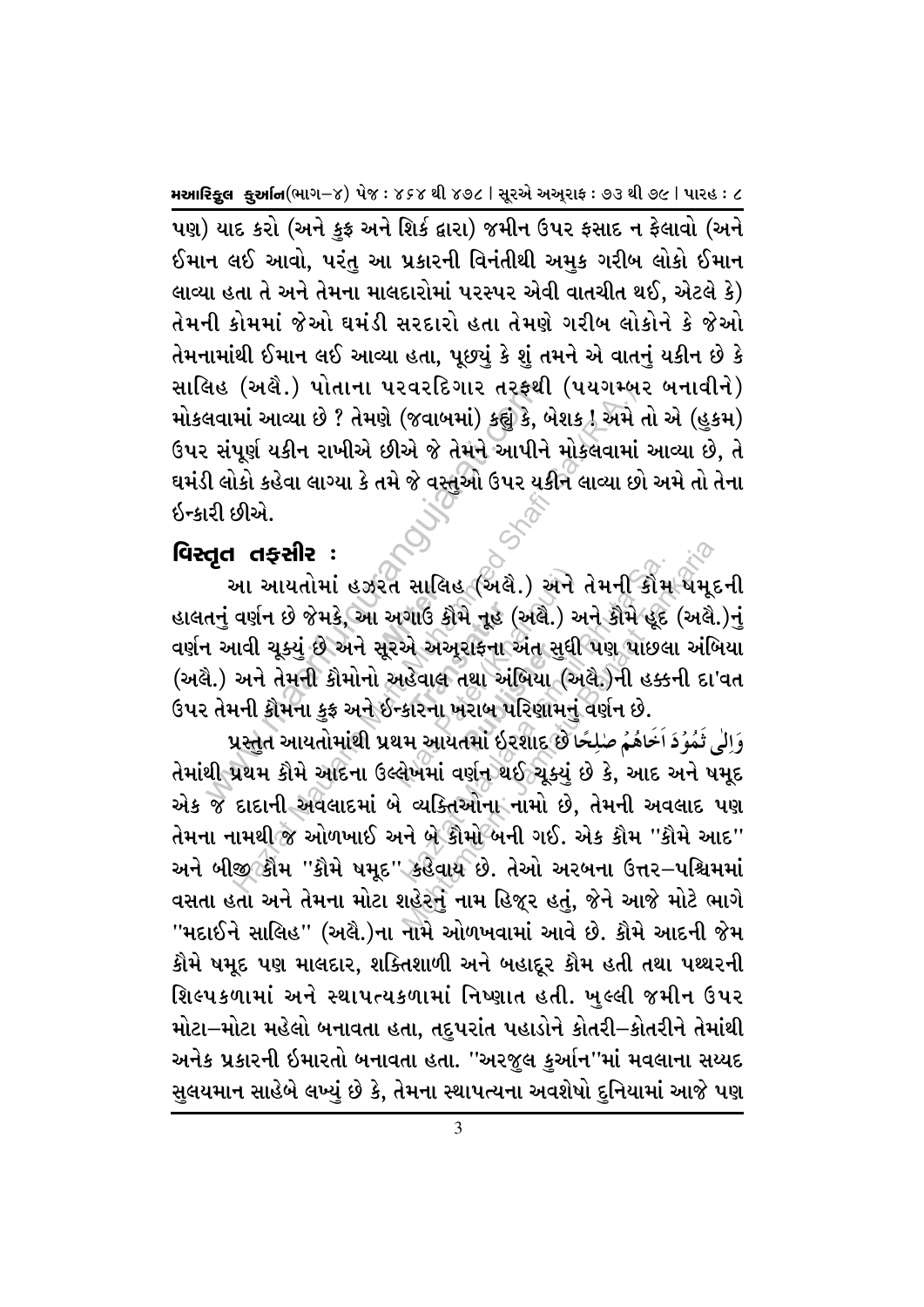પણ) યાદ કરો (અને કફ અને શિર્ક દ્વારા) જમીન ઉપર ફસાદ ન ફેલાવો (અને ઈમાન લઈ આવો, પરં<u>ત</u> આ પ્રકારની વિનંતીથી અમુક ગરીબ લોકો ઈમાન લાવ્યા હતા તે અને તેમના માલદારોમાં પરસ્પર એવી વાતચીત થઈ, એટલે કે) તેમની કોમમાં જેઓ ઘમંડી સરદારો હતા તેમણે ગરીબ લોકોને કે જેઓ તેમનામાંથી ઈમાન લઈ આવ્યા હતા, પૂછ્યું કે શું તમને એ વાતનું યકીન છે કે સાલિહ (અલૈ.) પોતાના પરવરદિગાર તરફથી (પયગમ્બર બનાવીને) મોકલવામાં આવ્યા છે ? તેમણે (જવાબમાં) કહ્યું કે, બેશક ! અમે તો એ (હકમ) ઉપર સંપૂર્ણ યકીન રાખીએ છીએ જે તેમને આપીને મોકલવામાં આવ્યા છે, તે ઘમંડી લોકો કહેવા લાગ્યા કે તમે જે વસ્તુઓ ઉપર યકીને લાવ્યા છો અમે તો તેના र्छन्दारी छीसे.

#### વિસ્તુત તફસીર :

આ આયતોમાં હઝરત સાલિહ (અલે.) અને તેમની કૌમ પેમૂદની હાલતનું વર્ણન છે જેમકે, આ અગાઉ કૌમે નૂહ (અલે.) અને કૌમે હૂદ (અલે.)નું વર્ણન આવી ચૂક્યું છે અને સૂરએ અઅૂરાફના અંત સુધી પણ પાછલા અંબિયા (અલૈ.) અને તેમની કૌમોનો અહેવાલ તથા અંબિયા (અલૈ.)ની હક્કની દા'વત ઉપર તેમની ક્રોમના કુફ અને ઈન્કારના ખરાબ પરિણામનું વર્ણન છે.

كِوَالِي ثَمُوُدَ اَخَاهُمُ صٰلِحًا لِلْمُحِينَ لِلْمُحِينَ لِلْهِ الْكَلِيِّ ثُمُوُدَ اَخَاهُمْ صِلْح તેમાંથી પ્રથમ કૌમે આદના ઉલ્લેખમાં વર્ણન થઈ ચૂક્યં છે કે, આદ અને ષમુદ એક જે દાદાની અવલાદમાં બે વ્યક્તિઓના નામો છે, તેમની અવલાદ પણ તેમના નામથી જે ઓળખાઈ અને બે કૌમો બની ગઈ. એક કૌમ ''કૌમે આદ'' અને બીજી∂કોમ ''કૌમે ષમુદ'' કહેવાય છે. તેઓ અરબના ઉત્તર−પશ્ચિમમાં વસતા હતો અને તેમના મોટા શહેરનું નામ હિજૂર હતું, જેને આજે મોટે ભાગે ''મદાઈને સાલિહ'' (અલૈ.)ના નામે ઓળખવામાં આવે છે. કૌમે આદની જેમ કૌમે ષમૂદ પણ માલદાર, શક્તિશાળી અને બહાદૂર કૌમ હતી તથા પથ્થરની શિલ્પકળામાં અને સ્થાપત્યકળામાં નિષ્ણાત હતી. ખલ્લી જમીન ઉપર મોટા–મોટા મહેલો બનાવતા હતા, તદુપરાંત પહાડોને કોતરી–કોતરીને તેમાંથી અનેક પ્રકારની ઇમારતો બનાવતા હતા. ''અરજુલ કુર્આન''માં મવલાના સય્યદ સલયમાન સાહેબે લખ્યં છે કે, તેમના સ્થાપત્યના અવશેષો દનિયામાં આજે પણ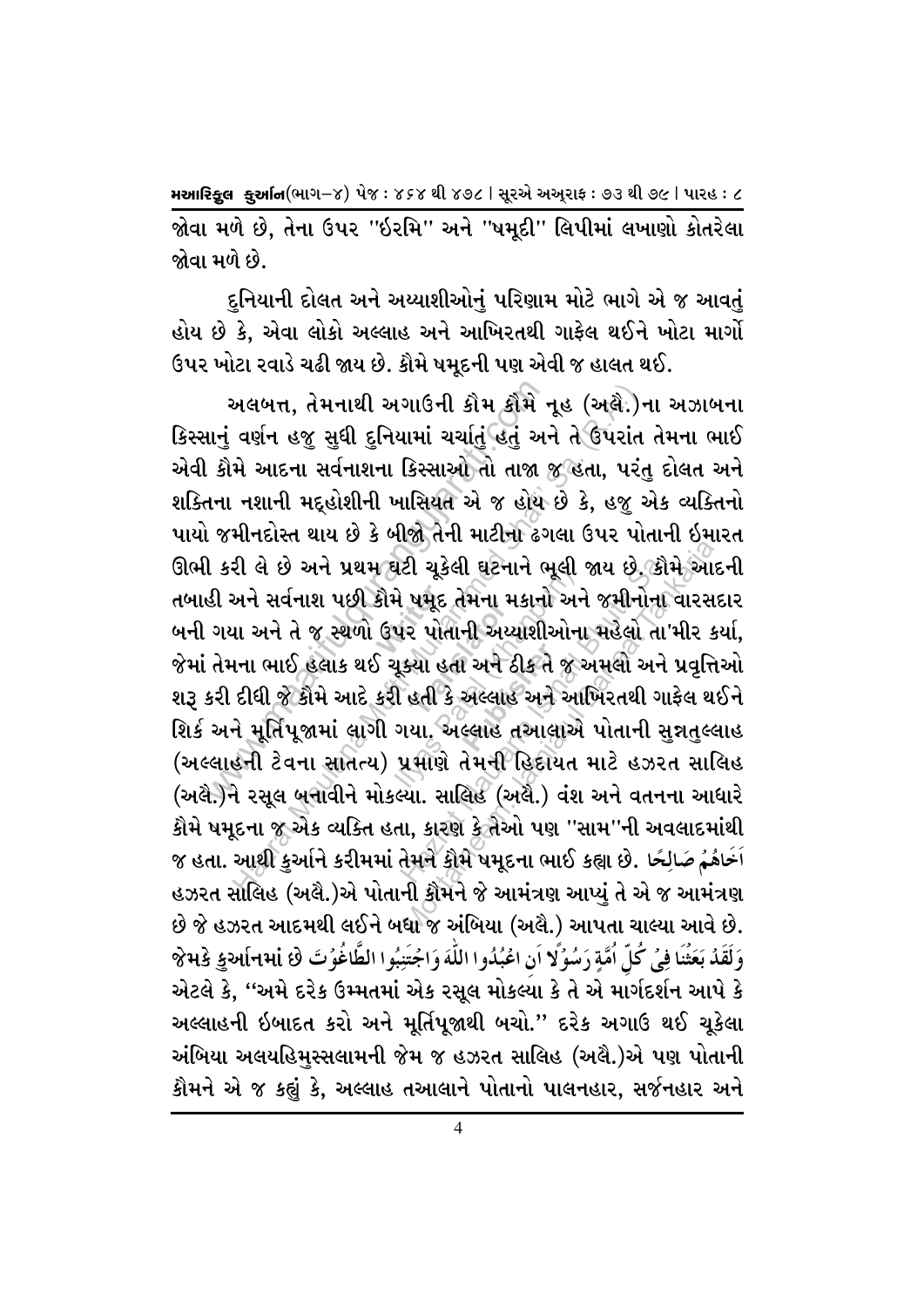જોવા મળે છે, તેના ઉપર ''ઇરમિ'' અને ''ષમુદી'' લિપીમાં લખાણો કોતરેલા જોવા મળે છે.

દનિયાની દોલત અને અય્યાશીઓનં પરિણામ મોટે ભાગે એ જ આવતં હોય છે કે. એવા લોકો અલ્લાહ અને આખિરતથી ગાફેલ થઈને ખોટા માર્ગો ઉપર ખોટા રવાડે ચઢી જાય છે. કૌમે ષમદની પણ એવી જ હાલત થઈ.

અલબત્ત, તેમનાથી અગાઉની કૌમ કૌમે નૂહ (અલૈ.)ના અઝાબના કિસ્સાનું વર્ણન હજુ સુધી દુનિયામાં ચર્ચાતું હતું અને તે ઉપરાંત તેમના ભાઈ એવી કૌમે આદના સર્વનાશના કિસ્સાઓ તો તાજા જ હતા, પરંતુ દોલત અને શક્તિના નશાની મદ્હોશીની ખાસિયત એ જ હોય છે કે, હજુ એક વ્યક્તિનો પાયો જમીનદોસ્ત થાય છે કે બીજો તેની માટીના ઢગલા ઉપર પોતાની ઇમારત ઊભી કરી લે છે અને પ્રથમ ઘટી ચૂકેલી ઘટનાને ભૂલી જાય છે. કૌમે આદની તબાહી અને સર્વનાશ પછી કૌમે ષમૂદ તેમના મકાનો અને જમીનોના વારસદાર બની ગયા અને તે જ સ્થળો ઉપર પોતાની અય્યાશીઓના મહેલો તા'મીર કર્યા, જેમાં તેમના ભાઈ હલાક થઈ ચૂક્યા હતા અને ઠીક તે જ અમલો અને પ્રવૃત્તિઓ શરૂ કરી દીધી જે કૌમે આદે કરી હતી કે અલ્લાહ અને આખિરતથી ગાફેલ થઈને શિર્ક અને મૂર્તિપૂજામાં લાગી ગયા. અલ્લાહ તઆલાએ પોતાની સુન્નતુલ્લાહ (અલ્લાહની ટેવના સાંતત્ય) પ્રમાણે તેમની હિંદાયત માટે હઝરત સાલિહ (અલે.)ને રસૂલ બનાવીને મોકલ્યા. સાલિહ (અલે.) વંશ અને વતનના આધારે કૌમે ષમૂદના જ એક વ્યક્તિ હતા, કારણ કેત્તેઓ પણ ''સામ''ની અવલાદમાંથી જ હતા. આથી કુર્આને કરીમમાં તેમને કૌમે ષમૂદના ભાઈ કહ્યા છે. اخَاهُمُ صَالِحًا હઝરત સાલિહ (અલૈ.)એ પોતાની કૌમને જે આમંત્રણ આપ્યું તે એ જ આમંત્રણ છે જે હઝરત આદમથી લઈને બધા જ અંબિયા (અલૈ.) આપતા ચાલ્યા આવે છે. وَلَقَدُ بَعَثُنَا فِي كُلِّ أُمَّةٍ رَسُوُلًا أَن اعْبُدُوا اللَّهَ وَاجْتَنِبُوا الطَّاغُوُتَ ﴾ अभडे कुर्आनमां छे એટલે કે, ''અમે દરેક ઉમ્મતમાં એક રસૂલ મોકલ્યા કે તે એ માર્ગદર્શન આપે કે અલ્લાહની ઇબાદત કરો અને મૂર્તિપૂજાથી બચો.'' દરેક અગાઉ થઈ ચૂકેલા અંબિયા અલયહિમુસ્સલામની જેમ જ હઝરત સાલિહ (અલૈ.)એ પણ પોતાની કૌમને એ જ કહ્યું કે, અલ્લાહ તઆલાને પોતાનો પાલનહાર, સર્જનહાર અને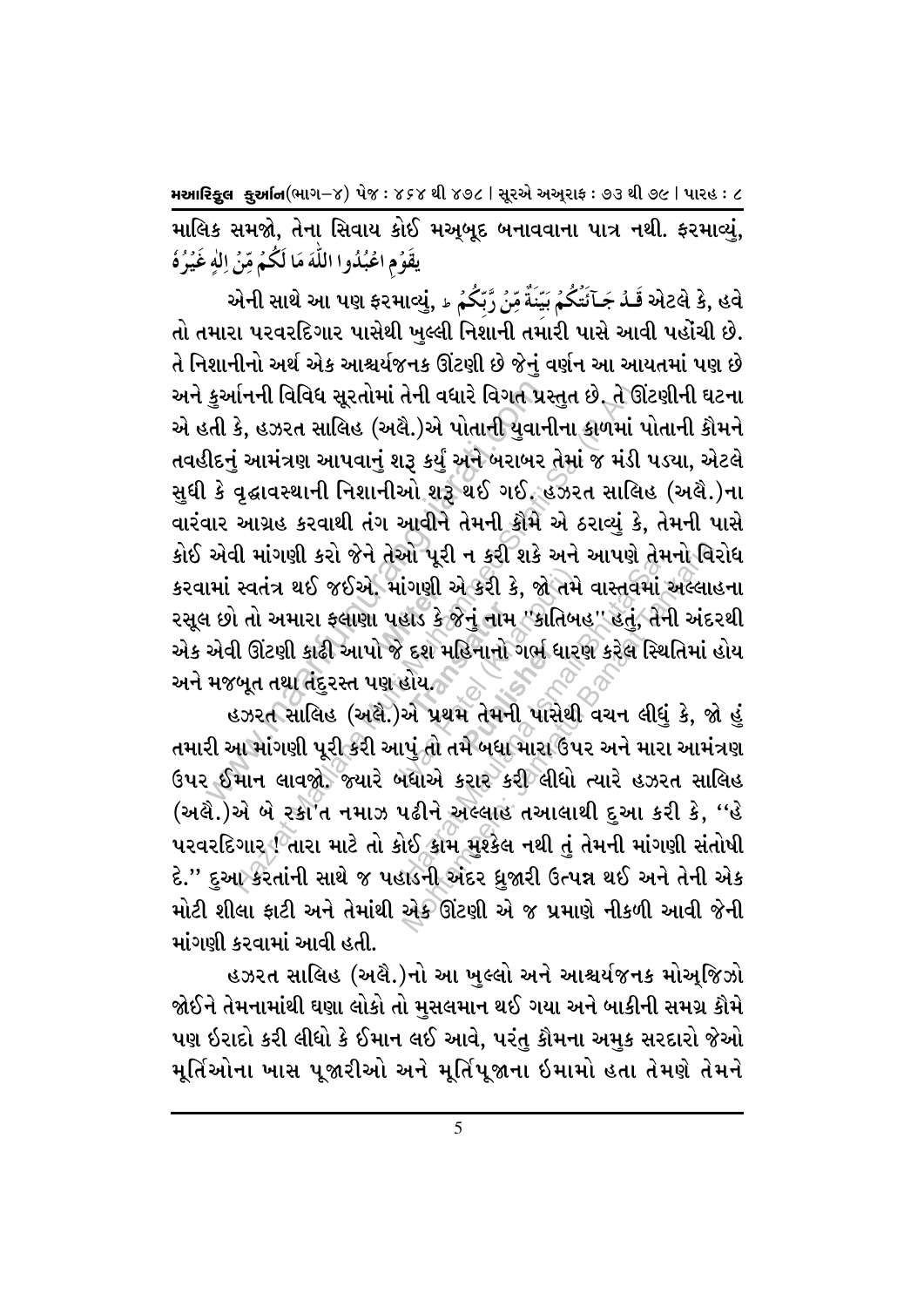માલિક સમજો, તેના સિવાય કોઈ મઅ્બૂદ બનાવવાના પાત્ર નથી. ફરમાવ્યું, يقَوُمِ اعْبُدُوا اللَّهَ مَا لَكُمْ مِّنْ اِلْهِ غَيْرُهُ

એની સાથે આ પણ ફરમાવ્યું, الْكُمُ بَيِّنَةٌ مِّنُ رَّبِّكُمُ ءَ ,એની સાથે આ પણ ફરમાવ્યું, اللَّهُ بَيَّنَةٌ مِّنُ તો તમારા પરવરદિગાર પાસેથી ખલ્લી નિશાની તમારી પાસે આવી પહોંચી છે. તે નિશાનીનો અર્થ એક આશ્ચર્યજનક ઊંટણી છે જેનું વર્ણન આ આયતમાં પણ છે અને કર્આનની વિવિધ સુરતોમાં તેની વધારે વિગત પ્રસ્તત છે. તે ઊંટણીની ઘટના એ હતી કે, હઝરત સાલિહ (અલૈ.)એ પોતાની યુવાનીના કાળમાં પોતાની કૌમને તવહીદનું આમંત્રણ આપવાનું શરૂ કર્યું અને બરાબર તેમાં જ મંડી પડ્યા, એટલે સુધી કે વૃદ્ધાવસ્થાની નિશાનીઓ શરૂ થઈ ગઈ. હઝરત સાલિહ (અલૈ.)ના વારંવાર આગ્રહ કરવાથી તંગ આવીને તેમની ક્રૌમે એ ઠરાવ્યું કે, તેમની પાસે કોઈ એવી માંગણી કરો જેને તેઓ પુરી ન કરી શકે અને આપણે તેમનો વિરોધ કરવામાં સ્વતંત્ર થઈ જઈએ. માંગણી એ કરી કે, જો તમે વાસ્તવમાં અલ્લાહના રસૂલ છો તો અમારા ફલાણા પહાડ કે જેનું નામ ''કાતિબહ'' હતું, તેની અંદરથી એક એવી ઊંટણી કાઢી આપો જે દશ મહિનાનો ગર્ભ ધારણ કરેલ સ્થિતિમાં હોય અને મજબુત તથા તિંદરસ્ત પણ હોય.

હઝરત સાલિહ (અલે.)એ પ્રથમ તેમની પાસેથી વચન લીધું કે, જો હું તમારી આ માંગણી પૂરી કરી આપું તો તમે બધા મારા ઉપર અને મારા આમંત્રણ ઉપર ઈમાન લાવજો. જ્યારે બધાએ કરાર કરી લીધો ત્યારે હઝરત સાલિહ (અલે.)એ બે રકા'ત નમાઝ પઢીને અલ્લાહ તઆલાથી દુઆ કરી કે, ''હે પરવરદિગાર <sup>(ઉ</sup>તારા માટે તો કોઈ કામ મુશ્કેલ નથી તું તેમની માંગણી સંતોષી દે." દુઆ કરતાંની સાથે જ પહાડની અંદર ધુજારી ઉત્પન્ન થઈ અને તેની એક મોટી શીલા ફાટી અને તેમાંથી એક ઊંટણી એ જ પ્રમાણે નીકળી આવી જેની માંગણી કરવામાં આવી હતી.

હઝરત સાલિહ (અલૈ.)નો આ ખુલ્લો અને આશ્ચર્યજનક મોઅુજિઝો જોઈને તેમનામાંથી ઘણા લોકો તો મુસલમાન થઈ ગયા અને બાકીની સમગ્ર કૌમે પણ ઇરાદો કરી લીધો કે ઈમાન લઈ આવે, પરંત કૌમના અમક સરદારો જેઓ મૂર્તિઓના ખાસ પૂજારીઓ અને મૂર્તિપૂજાના ઇમામો હતા તેમણે તેમને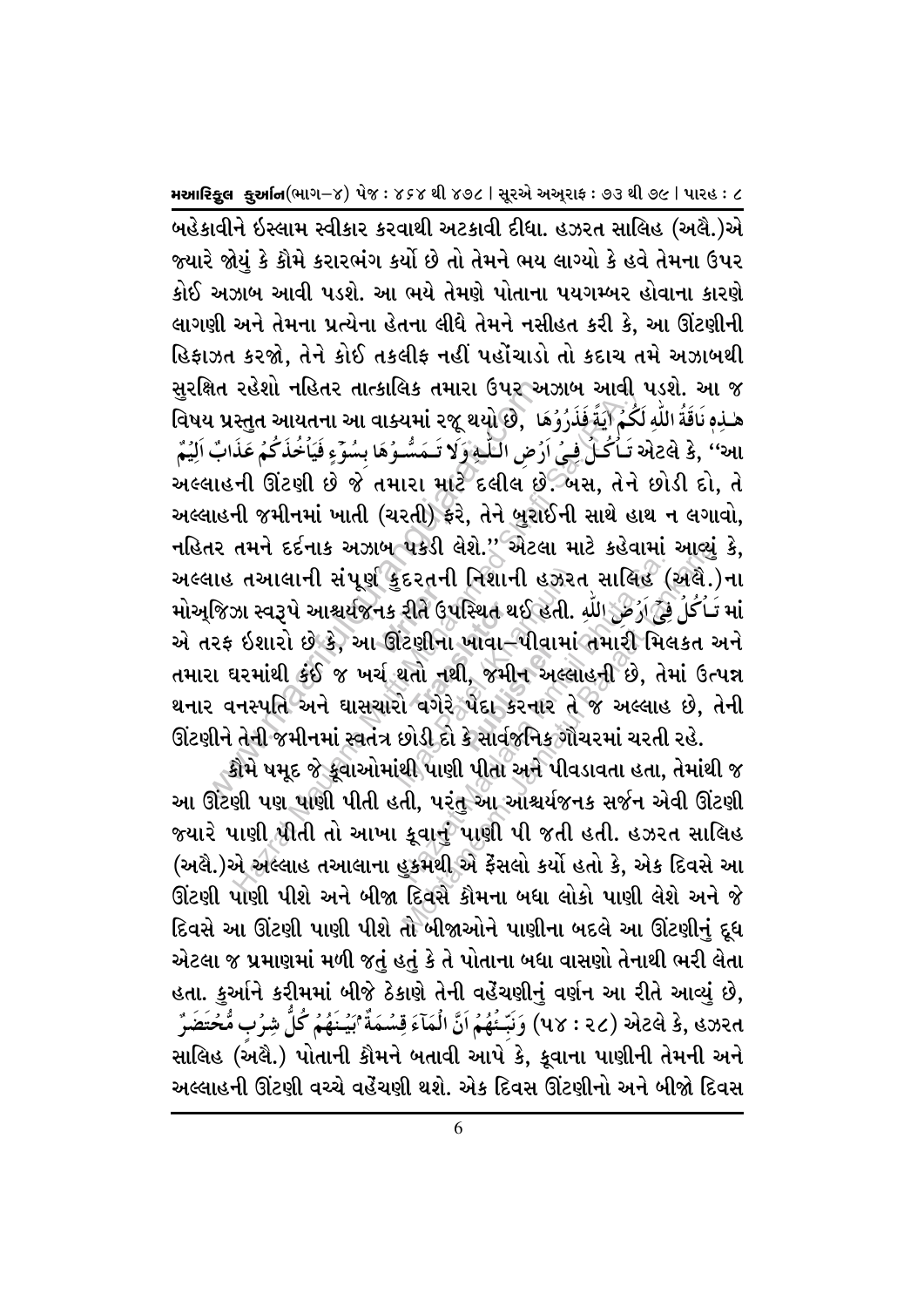બહેકાવીને ઇસ્લામ સ્વીકાર કરવાથી અટકાવી દીધા. હઝરત સાલિહ (અલૈ.)એ જ્યારે જોયં કે કૌમે કરારભંગ કર્યો છે તો તેમને ભય લાગ્યો કે હવે તેમના ઉપર કોઈ અઝાબ આવી પડશે. આ ભયે તેમણે પોતાના પયગમ્બર હોવાના કારણે લાગણી અને તેમના પ્રત્યેના હેતના લીધે તેમને નસીહત કરી કે, આ ઊંટણીની હિફાઝત કરજો, તેને કોઈ તકલીફ નહીં પહોંચાડો તો કદાચ તમે અઝાબથી સરક્ષિત રહેશો નહિતર તાત્કાલિક તમારા ઉપર અઝાબ આવી પડશે. આ જ هْـٰذِهٖ نَاقَةُ اللَّهِ لَكُمۡ آيَةً فَذَرُوۡهَا ۚ ,9﴾ [اللهِ علاجه] વિષય પ્રસ્તુત આયતના આ વાક્યમાં ૨જૂ થયો અટલે કે, ''આ تَأْكُلُّ فِيَ اَرْضِ اللَّكِّةِ وَلَا تَـمَسُّـوُهَا بِسُوِّءٍ فَيَأْخُذَكُمْ عَذَابٌ اَلِيُمْ અલ્લાહની ઊંટણી છે જે તમારા માટે દલીલ છે. બસ, તેને છોડી દો, તે અલ્લાહની જમીનમાં ખાતી (ચરતી) ફરે, તેને બુરાઈની સાથે હાથ ન લગાવો, નહિતર તમને દર્દનાક અઝાબ પકડી લેશે." એટલા માટે કહેવામાં આવ્યું કે, અલ્લાહ તઆલાની સંપૂર્ણ કુદરતની નિશાની હઝરત સાલિહ (અલે.)ના મોઅજિઝા સ્વરૂપે આશ્ચર્યજનક રીતે ઉપસ્થિત થઈ હતી. اللَّهِ મોઅજિઝા સ્વરૂપે આશ્ચર્યજનક રીતે ઉપસ્થિત થઈ હતી. એ તરફ ઇશારો છે કે, આ ઊંટણીના ખાવા–પીવામાં તમારી મિલકત અને તમારા ઘરમાંથી કંઈ જ ખર્ચ થતો નથી, જમીન અલ્લાહની છે, તેમાં ઉત્પન્ન થનાર વનસ્પતિ અને ઘાસચારો વગેરે પેદા કરનાર તે જ અલ્લાહ છે, તેની ઊંટણીને તેની જમીનમાં સ્વતંત્ર છોડી દો કે સાર્વજનિક ગૌચરમાં ચરતી રહે.

્કૌમે ષમૂદ જે કુવાઓમાંથી પાણી પીતા અને પીવડાવતા હતા, તેમાંથી જ આ ઊંટણી પણ પાણી પીતી હતી, પરંત આ આશ્ચર્યજનક સર્જન એવી ઊંટણી જ્યારે પાણી પીતી તો આખા કૂવાનું પાણી પી જતી હતી. હઝરત સાલિહ (અલે.)એ અલ્લાહ તઆલાના હુકમથી એ ફેંસલો કર્યો હતો કે, એક દિવસે આ ઊંટણી પાણી પીશે અને બીજા દિવસે કૌમના બધા લોકો પાણી લેશે અને જે દિવસે આ ઊંટણી પાણી પીશે તો બીજાઓને પાણીના બદલે આ ઊંટણીનું દૂધ એટલા જ પ્રમાણમાં મળી જતું હતું કે તે પોતાના બધા વાસણો તેનાથી ભરી લેતા હતા. કુર્આને કરીમમાં બીજે ઠેકાણે તેની વહેંચણીનું વર્ણન આ રીતે આવ્યું છે, لَهِ . وَلَهَ وَلا عَامَهِ (48 : 92) وَنَبِّئُهُمُ اَنَّ الْمَآءَ قِسُمَةٌ ۚ بَيۡـَـفَهُمۡ كُلُّ شِرۡبٍ مُّحۡتَضَرٌ સાલિહ (અલૈ.) પોતાની કૌમને બતાવી આપે કે, કૂવાના પાણીની તેમની અને અલ્લાહની ઊંટણી વચ્ચે વહેંચણી થશે. એક દિવસ ઊંટણીનો અને બીજો દિવસ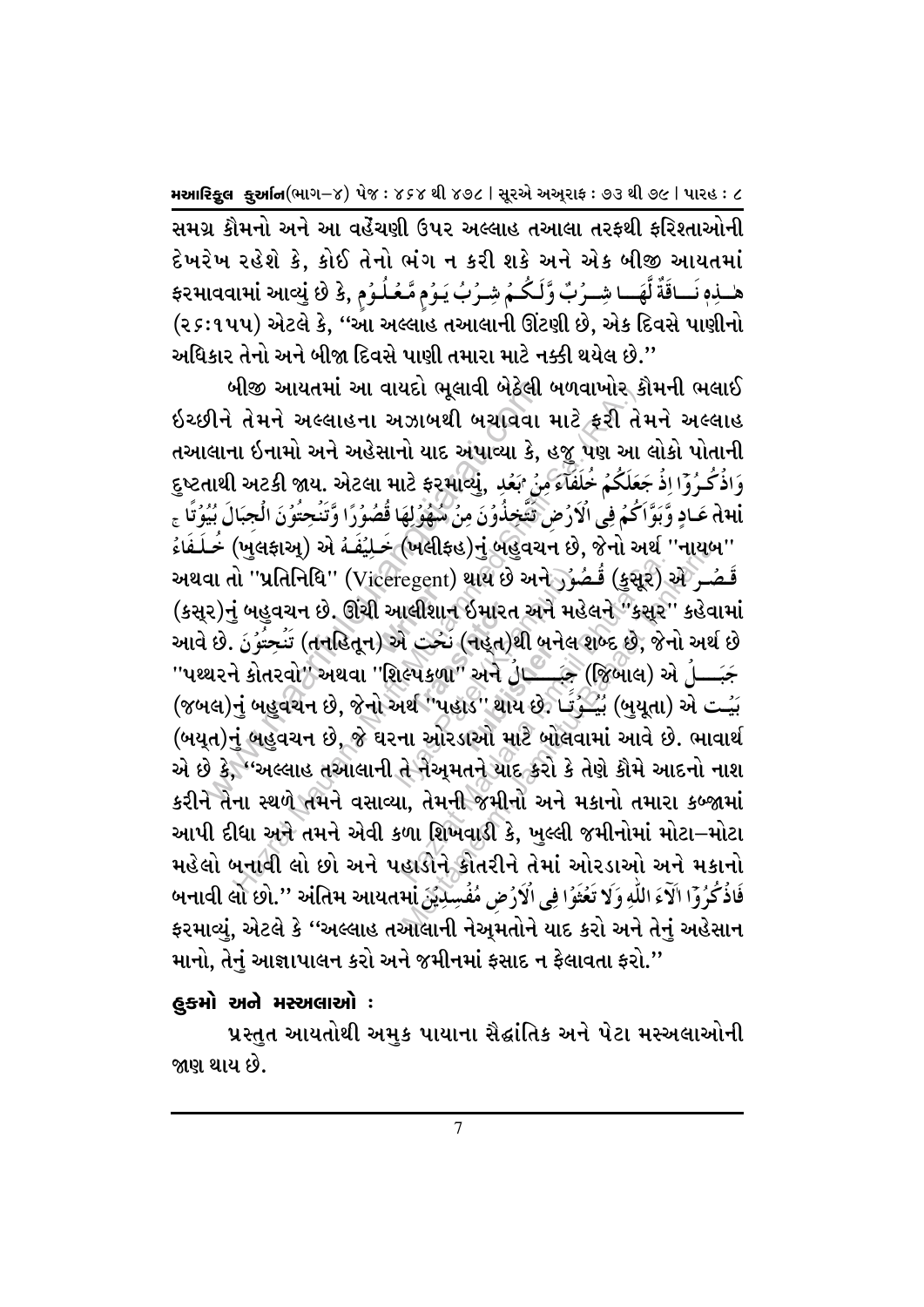સમગ્ર કૌમનો અને આ વહેંચણી ઉપર અલ્લાહ તઆલા તરકથી કરિશ્તાઓની દેખરેખ રહેશે કે. કોઈ તેનો ભંગ ન કરી શકે અને એક બીજી આયતમાં هْــذِهٖ نَــاقَةٌ لَّهَــا شِــرُبٌ وَّلَـكُــمُ شِـرُبُ يَـوُمٍ مَّـعُـلُـوُمٍ ,\$ ફરમાવવામાં આવ્યું છે કે, (૨૬:૧૫૫) એટલે કે, ''આ અલ્લાહ તઆલાની ઊંટણી છે, એક દિવસે પાણીનો અધિકાર તેનો અને બીજા દિવસે પાણી તમારા માટે નક્કી થયેલ છે."

બીજી આયતમાં આ વાયદો ભૂલાવી બેઠેલી બળવાખોર કૌમની ભલાઈ ઇચ્છીને તેમને અલ્લાહના અઝાબથી બચાવવા માટે ફરી તેમને અલ્લાહ તઆલાના ઇનામો અને અહેસાનો યાદ અપાવ્યા કે, હજુ પણ આ લોકો પોતાની وَاذُكُرُوْٓا اِذۡ جَعَلَكُمۡ خُلَفُكَٓءَمِّنۡ ٱبۡعَدِ , હુષ્ટતાથી અટકી જાય. એટલા માટે ફરમાવ્યું, گ dَ ali عَـادٍ وَّبَوَّاكُمُ فِي الْأَرُضِ ثَقَّخِذُوُنَ مِنْ شَهْوُلِهَا قُصُوْرًا وَّتَنْحِتُونَ الْجبَالَ بُيُوتًا ج ર્બહેવચન છે, જેનો અર્થ ''નાયૂબ'' (ખલીફહ)નું બહેવચન છે, જેનો અર્થ ''નાયૂબ'' અથવા તો ''પ્રતિનિધિ'' (Viceregent) થાય છે અને فَصُـر (કસૂર) એ صَوْمَة (કસૂર)નું બહુવચન છે. ઊંચી આલીશાન ઇમારત અને મહેલને "કસૂર" કહેવામાં આવે છે. تُنْحِتُوُنَ (તનહિતૂન) એ نَحْت (નહુત)થી બનેલ શબ્દ છે, જેનો અર્થ છે ''પથ્થરને કોતરવો'' અથવા ''શિલ્પકળા'' અને <u>ડંક (જ</u>િબાલ) એ ડું—ે (જબલ)નું બહુવચન છે, જેનો અર્થ "પહાડ" થાય છે. اَيُسْتَ (બુયૂતા) એ (બયૂત)નું બહુવચન છે, જે ઘરના ઓરડાઓ માટે બોલવામાં આવે છે. ભાવાર્થ એ છે કે, ''અલ્લાહ તઆલાની તે નેઅમતને યાદ કરો કે તેણે કૌમે આદનો નાશ કરીને તેના સ્થળે તમને વસાવ્યા, તેમની જમીનો અને મકાનો તમારા કબ્જામાં આપી દીધા અને તમને એવી કળા શિખવાડી કે, ખુલ્લી જમીનોમાં મોટા–મોટા મહેલો બનાવી લો છો અને પહાડોને કોતરીને તેમાં ઓરડાઓ અને મકાનો فَاذُكُرُوۡٓا اٰلَآءَ اللّٰهِ وَلَا تَعۡثَوُا فِي اُلۡاَرُضِ مُفۡسِدِّيۡنَ اللّٰهُ اللّٰهُ اللّٰهُ وَلَا تَعۡثَوُا فِي اُلۡاَرُض مُفۡسِدِّيۡنَ اللّٰهُ اللّٰهُ وَلَا تَعۡثَوُا فِي اُلۡاَرُض مُفۡسِدِّيۡنَ اللّٰهُ اللّٰهُ ال ફરમાવ્યું, એટલે કે ''અલ્લાહ તઆલાની નેઅુમતોને યાદ કરો અને તેનું અહેસાન માનો, તેનું આજ્ઞાપાલન કરો અને જમીનમાં ફસાદ ન ફેલાવતા ફરો."

#### હુકમો અને મસ્અલાઓ :

પ્રસ્તુત આયતોથી અમુક પાયાના સૈદ્ઘાંતિક અને પેટા મસ્અલાઓની જાણ થાય છે.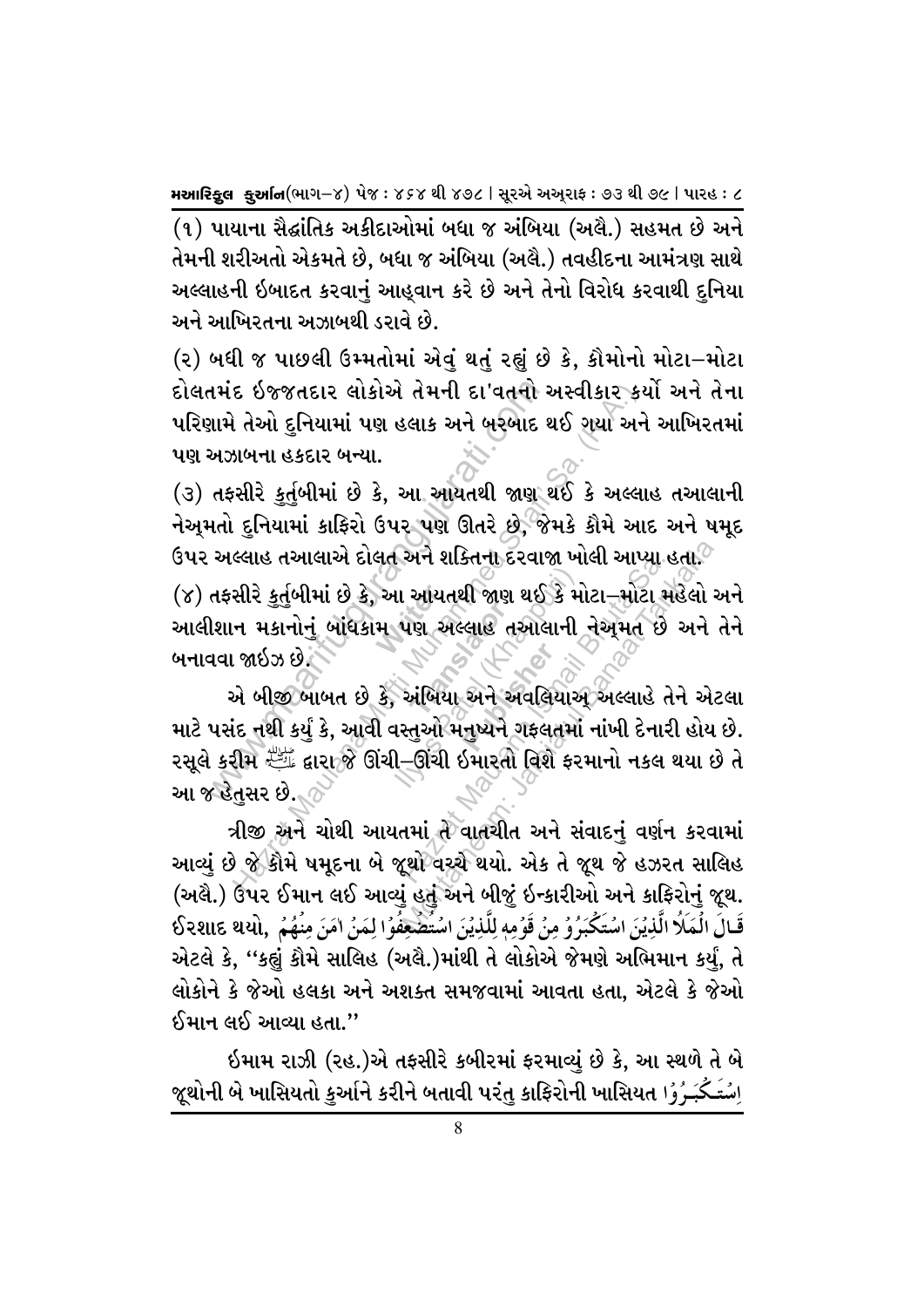(૧) પાયાના સૈદ્ધાંતિક અકીદાઓમાં બધા જ અંબિયા (અલૈ.) સહમત છે અને તેમની શરીઅતો એકમતે છે, બધા જ અંબિયા (અલૈ.) તવહીદના આમંત્રણ સાથે અલ્લાહની ઇબાદત કરવાનં આહવાન કરે છે અને તેનો વિરોધ કરવાથી દનિયા અને આખિરતના અઝાબથી ડરાવે છે.

(૨) બધી જ પાછલી ઉમ્મતોમાં એવું થતું રહ્યું છે કે, કૌમોનો મોટા–મોટા દોલતમંદ ઇજ્જતદાર લોકોએ તેમની દા'વતનો અસ્વીકાર કર્યો અને તેના પરિણામે તેઓ દનિયામાં પણ હલાક અને બરબાદ થઈ ગયા અને આખિરતમાં પણ અઝાબના હકદાર બન્યા.

(૩) તફસીરે કુર્તુબીમાં છે કે, આ આયતથી જાણ થઈ કે અલ્લાહ તઆલાની નેઅમતો દુનિયામાં કાફિરો ઉપર પણ ઊતરે છે, જેમકે કૌમે આદ અને ષમૂદ ઉપર અલ્લાહ તઆલાએ દોલત અને શક્તિના દરવાજા ખોલી આપ્યા હતા. $^\circ$ 

(૪) તફસીરે કર્તબીમાં છે કે, આ આયતથી જાણ થઈ કે મોટા–મોટા મહેલો અને આલીશાન મકાનોનું બાંધકામ પણ અલ્લાહ તઆલાની નેઅમત છે અને તેને  $0.41$ ddl  $0.85$ ઝ $10.4$ 

એ બીજી બાબત છે કે, અંબિયા અને અવલિયાઅ અલ્લાહે તેને એટલા માટે પસંદ નથી કર્યં કે, આવી વસ્તઓ મનષ્યને ગફલતમાં નાંખી દેનારી હોય છે. રસૂલે કરીમ ﷺ દારા જે ઊંચી–ઊંચી ઇમારતો વિશે ફરમાનો નકલ થયા છે તે આ જ હેતસર છે. *ા* 

ત્રીજી અને ચોથી આયતમાં તે વાતચીત અને સંવાદનું વર્ણન કરવામાં આવ્યું છે જે કૌમે ષમૂદના બે જૂથો વચ્ચે થયો. એક તે જૂથ જે હઝરત સાલિહ (અલે.) ઉપર ઈમાન લઈ આવ્યં હતું અને બીજં ઇન્કારીઓ અને કાફિરોનં જુથ. قَالَ الْمَلَا الَّذِيۡنَ اسۡتَكۡبَرُوۡ مِنۡ قَوۡمِهٖ لِلَّذِيۡنَ اسۡتَضۡعِفُوۡا لِمَنۡ اٰمَنَ مِنۡهُمۡ ٤٤١١٤ كَا એટલે કે, ''કહ્યં કૌમે સાલિહ (અલૈ.)માંથી તે લોકોએ જેમણે અભિમાન કર્યં, તે લોકોને કે જેઓ હલકા અને અશક્ત સમજવામાં આવતા હતા, એટલે કે જેઓ ઈમાન લઈ આવ્યા હતા.''

ઇમામ રાઝી (રહ.)એ તફસીરે કબીરમાં ફરમાવ્યં છે કે, આ સ્થળે તે બે જૂથોની બે ખાસિયતો કુર્આને કરીને બતાવી પરંતુ કાફિરોની ખાસિયત 'ડ્રે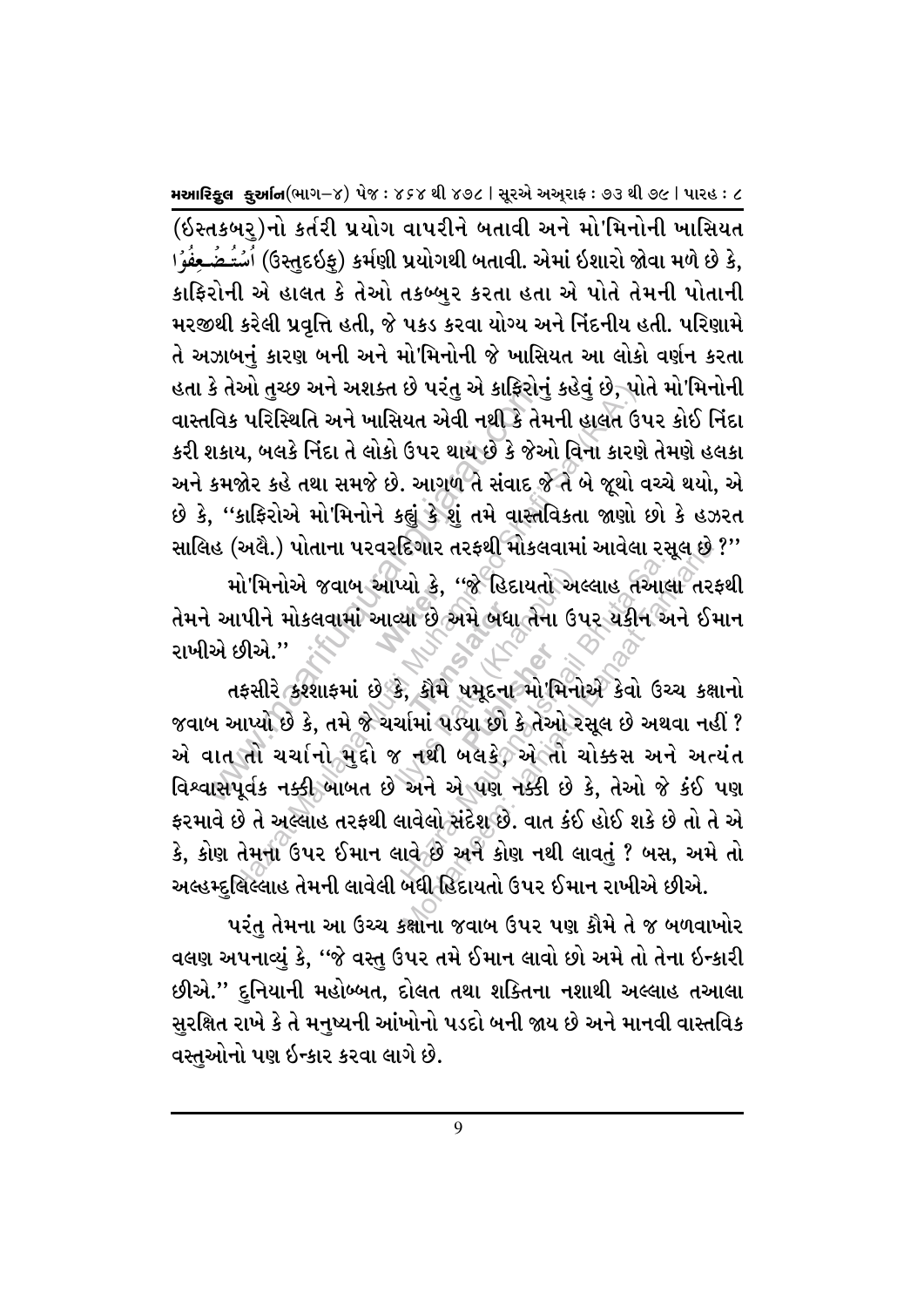(ઇસ્તકબર)નો કર્તરી પ્રયોગ વાપરીને બતાવી અને મો'મિનોની ખાસિયત (ઉસ્તુદઇફ્) કર્મણી પ્રયોગથી બતાવી. એમાં ઇશારો જોવા મળે છે કે, કાફિરોની એ હાલત કે તેઓ તકબ્બર કરતા હતા એ પોતે તેમની પોતાની મરજીથી કરેલી પ્રવૃત્તિ હતી, જે પકડ કરવા યોગ્ય અને નિંદનીય હતી. પરિણામે તે અઝાબનં કારણ બની અને મો'મિનોની જે ખાસિયત આ લોકો વર્ણન કરતા હતા કે તેઓ તુચ્છ અને અશક્ત છે પરંતુ એ કાફિરોનું કહેવું છે, પોતે મો'મિનોની વાસ્તવિક પરિસ્થિતિ અને ખાસિયત એવી નથી કે તેમની હાલત ઉપર કોઈ નિંદા કરી શકાય, બલકે નિંદા તે લોકો ઉપર થાય છે કે જેઓ વિના કારણે તેમણે હલકા અને કમજોર કહે તથા સમજે છે. આગળ તે સંવાદ જે તે બે જૂથો વચ્ચે થયો, એ છે કે, "કાફિરોએ મો'મિનોને કહ્યું કે શું તમે વાસ્તવિકતા જાણો છો કે હઝરત સાલિહ (અલે.) પોતાના પરવરદિગાર તરફથી મોકલવામાં આવેલા રસૂલ છે ?"

મો'મિનોએ જવાબ આપ્યો કે, ''જે હિદાયતો અલ્લાહ તઆલા તરફથી તેમને આપીને મોકલવામાં આવ્યા છે અમે બધા તેના ઉપર ચકીન અને ઈમાન રાખીએ છીએ."

તફસીરે કશ્શાકમાં છે કે, કોમે પમૂદના મો'મિનોએ કેવો ઉચ્ચ કક્ષાનો જવાબ આપ્યો છે કે, તમે જે ચર્ચામાં પડ્યા છો કે તેઓ રસૂલ છે અથવા નહીં ? એ વાત તો ચર્ચાનો મુદ્દો જ નથી બલકે? એ તો ચોક્કસ અને અત્યંત વિશ્વાસપૂર્વક નક્કી બાબત છે અને એ પણ નક્કી છે કે, તેઓ જે કંઈ પણ ફરમાવે છે તે અલ્લાહ તરફથી લાવેલો સંદેશ છે. વાત કંઈ હોઈ શકે છે તો તે એ કે, કોણ તેમના ઉપર ઈમાન લાવે<sub>ર</sub>છે અને કોણ નથી લાવતું ? બસ, અમે તો અલ્હમ્દુલિલ્લાહ તેમની લાવેલી બધી હિંદાયતો ઉપર ઈમાન રાખીએ છીએ.

પરંતુ તેમના આ ઉચ્ચ કક્ષોના જવાબ ઉપર પણ કૌમે તે જ બળવાખોર વલણ અપનાવ્યું કે, ''જે વસ્તુ ઉપર તમે ઈમાન લાવો છો અમે તો તેના ઇન્કારી છીએ." દુનિયાની મહોબ્બત, દોલત તથા શક્તિના નશાથી અલ્લાહ તઆલા સુરક્ષિત રાખે કે તે મનુષ્યની આંખોનો પડદો બની જાય છે અને માનવી વાસ્તવિક વસ્તઓનો પણ ઇન્કાર કરવા લાગે છે.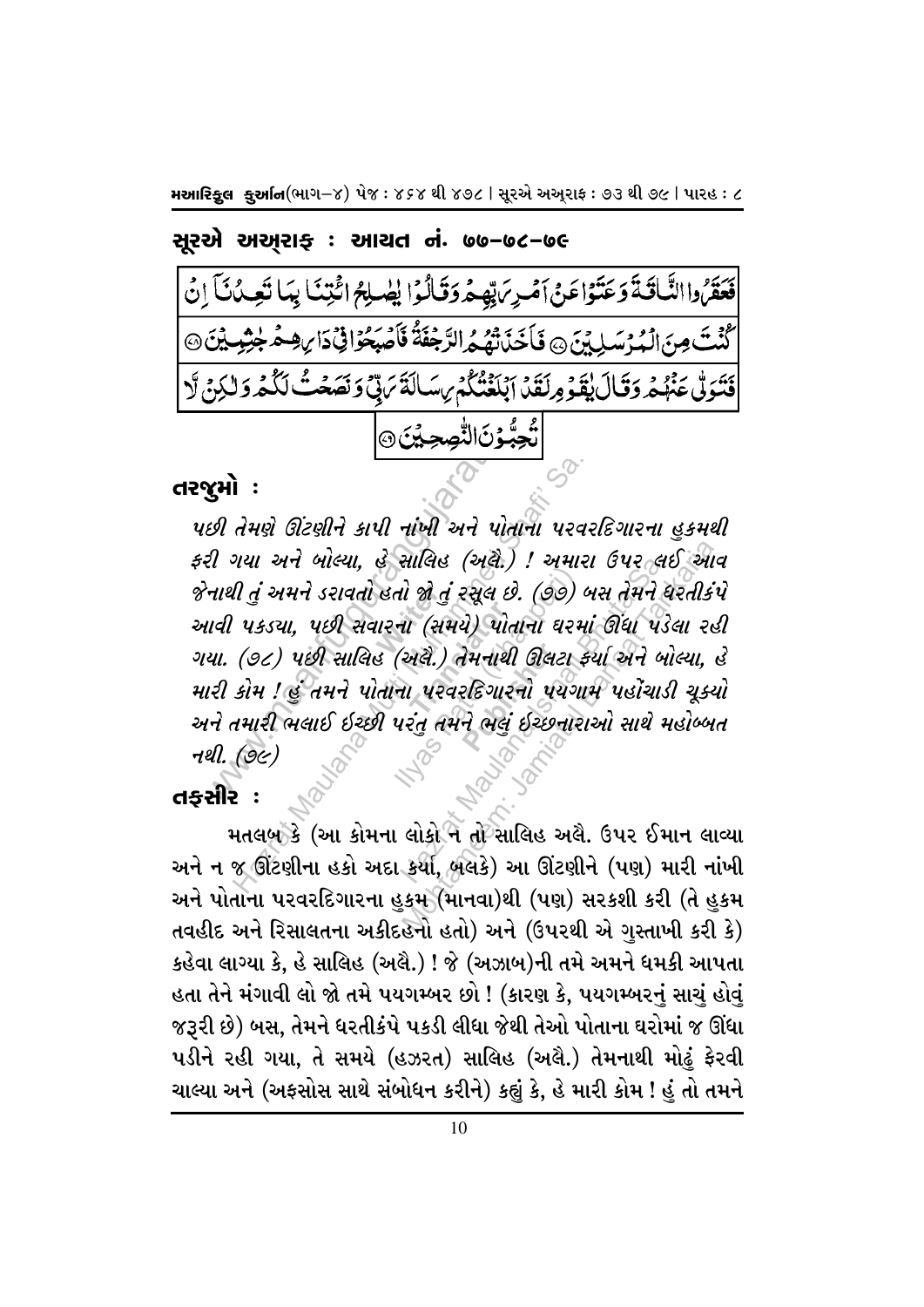#### સૂરએ અઅ્રરાફ : આચત નં. ७७–७૮–७૯

فَعَقَّرُوا النَّاقَةَ وَعَنَوْاعَنْ آمْرِيَهِهِمْ وَقَالُوْا يُصْلِحُ ائْتِنَا بِمَا تَعِيدُنَآ إِن ۣڡۭڹؘٳڷؠؙڔ۠ڛڸؽٙ۞ڡؘڶڂؘڹٛٱؿ۠ۿؙۿٳڶڒٙڿڡؘڎ۠ڣٲڞؠؘڂۛۯٳ؋۬ۮؘٳ*ۑ؋*ۿ۫ڂۭۺۣؽؘ۞ فَتَوَلَّى عَهْمُهُ وَقَالَ لِقَوْمِ لَقَدْ ابْلَغْنُكُمْ بِسَالَةَ يَهْلِّ وَنَصَحْتُ لَكُمْ وَلَٰكِنَّ لَّا |تُحِبُّوۡنَاالنُّصِحِيۡنَ۞  $c^{\mathfrak{D}}$ 

#### તરજૂમો :

પછી તેમણે ઊંટણીને કાપી નાંખી અને પોતાના પરવરદિગારના હકમથી ફરી ગયા અને બોલ્યા, હે સાલિહ (અલે.) ! અમારા ઉપર લઈ આવ જેનાથી તું અમને ડરાવતો હતો જો તું રસૂલ છે. (૭૭) બસ તેમને ધરતીકંપે આવી પકડ્યા, પછી સવારના (સમયે) પોતાના ઘરમાં ઊંધા પડેલા રહી ગયા. (૭૮) પછી સાલિહ (અલે.) તેમનાથી ઊલટા કર્યા અને બોલ્યા, હે મારી કોમ ! હું તમને પોતાના પરવરદિગારનો પયગામ પહોંચાડી ચૂક્યો અને તમારી ભલાઈ ઇચ્છી પરંત તમને ભલં ઇચ્છનારાઓ સાથે મહોબ્બત  $-12l.$  (9 $\epsilon$ )

#### તકસીર :

મતલબ કે (આ કોમના લોકો ને તો સાલિહ અલે. ઉપર ઈમાન લાવ્યા અને ન જ ઊંટણીના હકો અદા કર્યા, બલકે) આ ઊંટણીને (પણ) મારી નાંખી અને પોતાના પરવરદિગારના હુકમ (માનવા)થી (પણ) સરકશી કરી (તે હુકમ તવહીદ અને રિસાલતના અકીદહેનો હતો) અને (ઉપરથી એ ગસ્તાખી કરી કે) કહેવા લાગ્યા કે, હે સાલિહ (અલૈ.) ! જે (અઝાબ)ની તમે અમને ધમકી આપતા હતા તેને મંગાવી લો જો તમે પયગમ્બર છો ! (કારણ કે, પયગમ્બરનું સાચું હોવું જરૂરી છે) બસ, તેમને ધરતીકંપે પકડી લીધા જેથી તેઓ પોતાના ઘરોમાં જ ઊંધા પડીને રહી ગયા, તે સમયે (હઝરત) સાલિહ (અલૈ.) તેમનાથી મોઢું ફેરવી ચાલ્યા અને (અફસોસ સાથે સંબોધન કરીને) કહ્યં કે, હે મારી કોમ ! હં તો તમને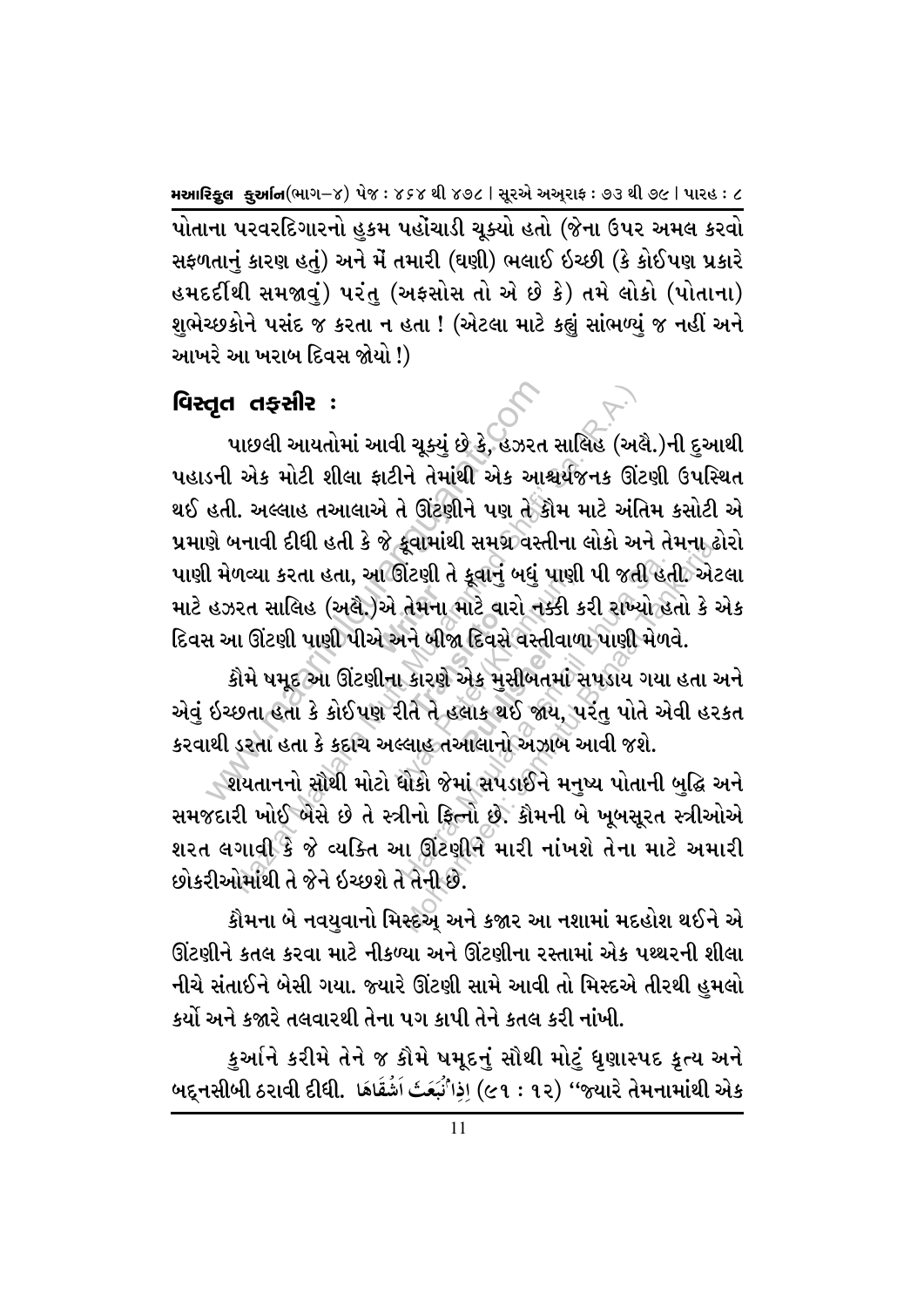પોતાના પરવરદિગારનો હુકમ પહોંચાડી ચૂક્યો હતો (જેના ઉપર અમલ કરવો સફળતાનં કારણ હતં) અને મેં તમારી (ઘણી) ભલાઈ ઇચ્છી (કે કોઈપણ પ્રકારે હમદર્દીથી સમજાવં) પરંત (અફસોસ તો એ છે કે) તમે લોકો (પોતાના) શુભેચ્છકોને પસંદ જ કરતા ન હતા ! (એટલા માટે કહ્યું સાંભળ્યું જ નહીં અને આખરે આ ખરાબ દિવસ જોયો !)

### વિસ્તુત તકસીર :

પાછલી આયતોમાં આવી ચૂક્યું છે કે, હઝરત સાલિહ (અલે.)ની દુઆથી પહાડની એક મોટી શીલા કાટીને તેમાંથી એક આશ્ચર્યજનક ઊંટણી ઉપસ્થિત થઈ હતી. અલ્લાહ તઆલાએ તે ઊંટશીને પણ તે કૌમ માટે અંતિમ કસોટી એ પ્રમાણે બનાવી દીધી હતી કે જે કૂવામાંથી સમગ્ર વસ્તીના લોકો અને તેમના ઢોરો પાણી મેળવ્યા કરતા હતા, આ ઊંટણી તે કૂવાનું બધું પાણી પી જતી હતી. એટલા માટે હઝરત સાલિહ (અલે.)એ તેમના માટે વારો નક્કી કરી રાખ્યો હતો કે એક દિવસ આ ઊંટણી પાણી પીએ અને બીજા દિવસે વસ્તીવાળા પાણી મેળવે.

કૌમે ષમૂદ આ ઊંટણીના કારણે એક મુસીબતમાં સપડાય ગયા હતા અને એવં ઇચ્છતા હતા કે કોઈપણ રીતે તે હલાક થઈ જાય, પરંત પોતે એવી હરકત કરવાથી ડરતા હતા કે કદાચ અલ્લાહ તઆલાનો અઝાબ આવી જશે.

્રશયતાનનો સૌથી મોટો ધોકો જેમાં સપડાઈને મનુષ્ય પોતાની બુદ્ધિ અને સમજદારી ખોઈ બેસે છે તે સ્ત્રીનો ફિત્નો છે. કૌમની બે ખૂબસૂરત સ્ત્રીઓએ શરત લગાવી કે જે વ્યક્તિ આ ઊંટણીને મારી નાંખશે તેના માટે અમારી છોકરીઓમાંથી તે જેને ઇચ્છશે તે તેની છે.

કૌમના બે નવયવાનો મિસ્દેઅ અને કજાર આ નશામાં મદહોશ થઈને એ ઊંટણીને કતલ કરવા માટે નીકળ્યા અને ઊંટણીના રસ્તામાં એક પથ્થરની શીલા નીચે સંતાઈને બેસી ગયા. જ્યારે ઊંટણી સામે આવી તો મિસ્દએ તીરથી હુમલો કર્યો અને કજારે તલવારથી તેના પગ ક્ષપી તેને કતલ કરી નાંખી.

કુર્આને કરીમે તેને જ કૌમે ષમૂદનું સૌથી મોટું ધૃણાસ્પદ કૃત્ય અને બદ્દનસીબી ઠરાવી દીધી. لَفُقَاهَا (૯૧ : ૧૨) ''જ્યારે તેમનામાંથી એક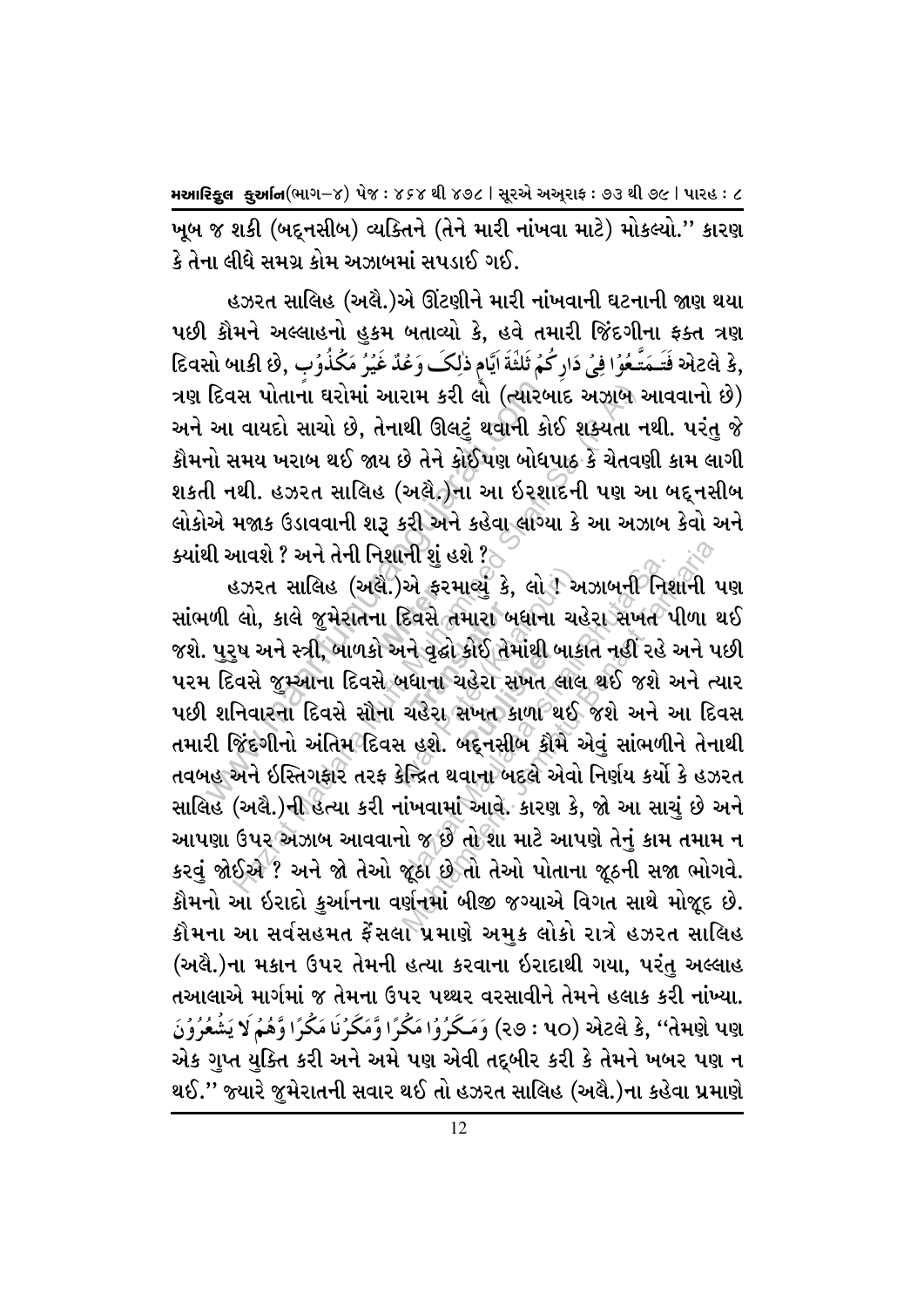ખૂબ જ શકી (બદ્દનસીબ) વ્યક્તિને (તેને મારી નાંખવા માટે) મોકલ્યો." કારણ કે તેના લીધે સમગ્ર કોમ અઝાબમાં સપડાઈ ગઈ.

હઝરત સાલિહ (અલૈ.)એ ઊંટણીને મારી નાંખવાની ઘટનાની જાણ થયા પછી કૌમને અલ્લાહનો હકમ બતાવ્યો કે. હવે તમારી જિંદગીના ફક્ત ત્રણ ,सिवसो બाકी છે, فَتَـمَتَّـعُوُا فِي دَارِكُمُ ثَلَثَةَ آيَّام ذٰلِكَ وَعُدٌ غَيْرُ مَكْذُوُب ,हिवसो બाકी छी ત્રણ દિવસ પોતાના ઘરોમાં આરામ કરી લો (ત્યારબાદ અઝાબ આવવાનો છે) અને આ વાયદો સાચો છે, તેનાથી ઊલટું થવાની કોઈ શક્યતા નથી. પરંતુ જે કૌમનો સમય ખરાબ થઈ જાય છે તેને કોઈપણ બોધપાઠ કે ચેતવણી કામ લાગી શકતી નથી. હઝરત સાલિહ (અલૈ.)ના આ ઇરશાદની પણ આ બદુનસીબ લોકોએ મજાક ઉડાવવાની શરૂ કરી અને કહેવા લાગ્યા કે આ અઝાબ કેવો અને ક્યાંથી આવશે ? અને તેની નિશાની શં હશે ?ે

હઝરત સાલિહ (અલે.)એ ફરમાલ્યું કે, લો ! અઝાબની નિશાની પણ સાંભળી લો, કાલે જુમેરાતના દિવસે તમારા બધાના ચહેરા સંખત પીળા થઈ જશે. પુરુષ અને સ્ત્રી, બાળકો અને વૃદ્ધો કોઈ તેમાંથી બાકાત નહીં રહે અને પછી પરમ દિવસે જમ્આના દિવસે બધાના ચહેરા સખત લાલ થઈ જશે અને ત્યાર પછી શનિવારના દિવસે સૌના ચહેરા સખત કાળા થઈ જશે અને આ દિવસ તમારી જિંદગીનો અંતિમ દિવસ હશે. બદ્દનસીબ કૌમે એવું સાંભળીને તેનાથી તવબહ અને ઇસ્તિગફાર તરફ કેન્દ્રિત થવાના બદલે એવો નિર્ણય કર્યો કે હઝરત સાલિહ (અલૈ.)ની હત્યા કરી નાંખવામાં આવે. કારણ કે, જો આ સાચું છે અને આપણા ઉપર અઝાબ આવવાનો જ છે તો શા માટે આપણે તેનં કામ તમામ ન કરવું જોઈએ ? અને જો તેઓ જૂઠા છે તો તેઓ પોતાના જૂઠની સજા ભોગવે. કૌમનો આ ઇરાદો કુર્આનના વર્ણનમાં બીજી જગ્યાએ વિગત સાથે મોજૂદ છે. કૌમના આ સર્વસહમત કૈંસલા પ્રમાણે અમક લોકો રાત્રે હઝરત સાલિહ (અલૈ.)ના મકાન ઉપર તેમની હત્યા કરવાના ઇરાદાથી ગયા, પરંતુ અલ્લાહ તઆલાએ માર્ગમાં જ તેમના ઉપર પથ્થર વરસાવીને તેમને હલાક કરી નાંખ્યા. ર૭ : ૫૦) એટલે કે, ''તેમણે પણ (૨૭ : ૫૦) وَمَكَرُوْا مَكْرًا وَّمَكَرُنَا مَكْرًا وَّهُمْ لَا يَشْعُرُوْنَ એક ગુપ્ત યુક્તિ કરી અને અમે પણ એવી તદ્દબીર કરી કે તેમને ખબર પણ ન થઈ.'' જ્યારે જુમેરાતની સવાર થઈ તો હઝરત સાલિહ (અલૈ.)ના કહેવા પ્રમાણે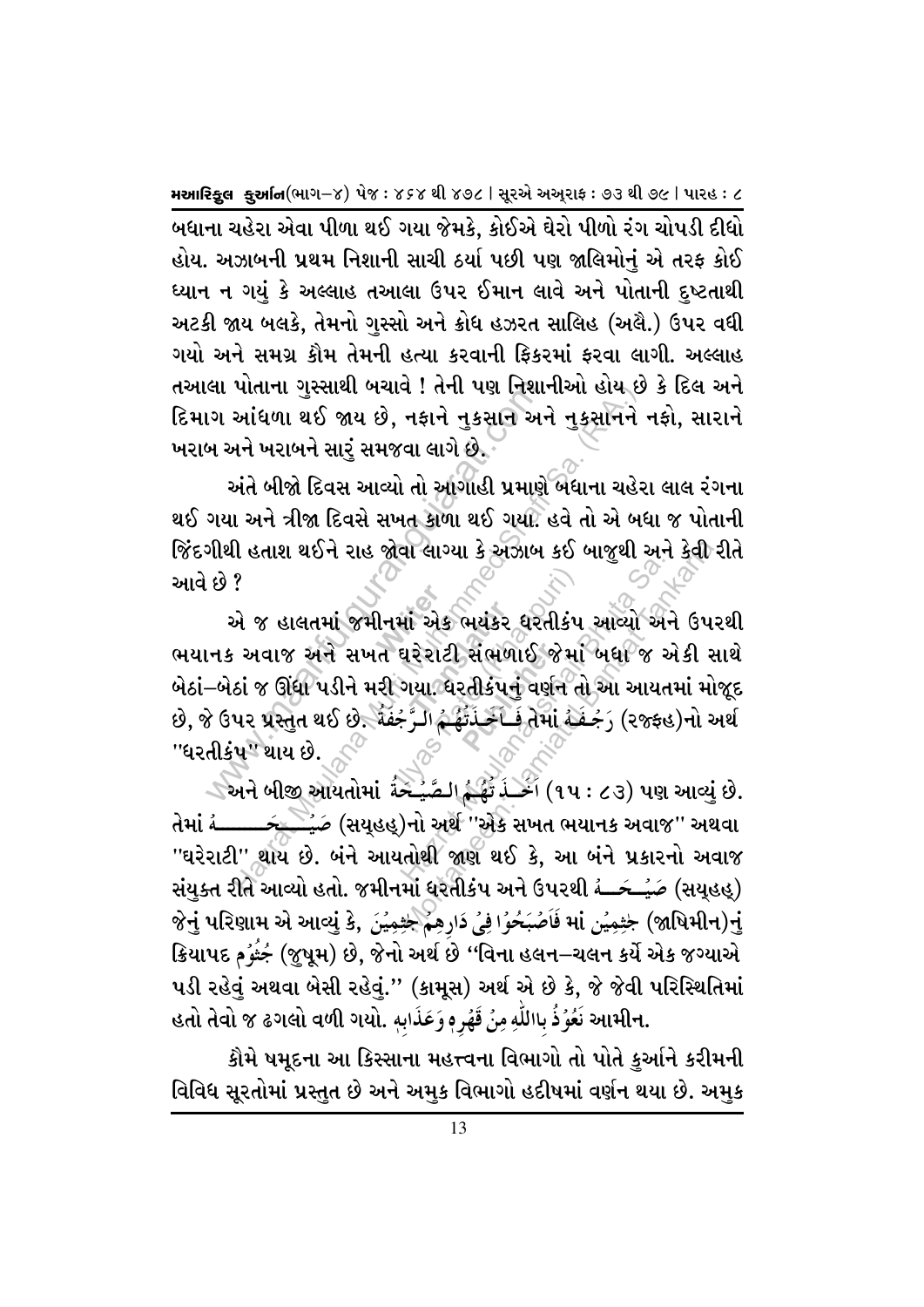બધાના ચહેરા એવા પીળા થઈ ગયા જેમકે, કોઈએ ઘેરો પીળો રંગ ચોપડી દીધો હોય. અઝાબની પ્રથમ નિશાની સાચી ઠર્યા પછી પણ જાલિમોનં એ તરફ કોઈ ધ્યાન ન ગયં કે અલ્લાહ તઆલા ઉપર ઈમાન લાવે અને પોતાની દષ્ટતાથી અટકી જાય બલકે, તેમનો ગસ્સો અને ક્રોધ હઝરત સાલિહ (અલૈ.) ઉપર વધી ગયો અને સમગ્ર કૌમ તેમની હત્યા કરવાની કિકરમાં કરવા લાગી. અલ્લાહ તઆલા પોતાના ગસ્સાથી બચાવે ! તેની પણ નિશાનીઓ હોય છે કે દિલ અને દિમાગ આંધળા થઈ જાય છે, નફાને નુકસાન અને નુકસાનને નફો, સારાને ખરાબ અને ખરાબને સારં સમજવા લાગે છે.

અંતે બીજો દિવસ આવ્યો તો આંગાહી પ્રમાણે બધાના ચહેરા લાલ રંગના થઈ ગયા અને ત્રીજા દિવસે સખત કાળા થઈ ગયા. હવે તો એ બધા જ પોતાની જિંદગીથી હતાશ થઈને રાહ જોવા લાગ્યા કે અઝાબ કઈ બાજુથી અને કેવી રીતે આવે છે ?

એ જ હાલતમાં જમીનમાં એક ભયંકર ઘરતીકંપ આવ્યો અને ઉપરથી ભયાનક અવાજ અને સખત ઘરેરાટી સંભળાઈ જેમાં બધા જ એકી સાથે બેઠાં–બેઠાં જ ઊંઘા પડીને મરી ગયા. ઘરતીકંપનું વર્ણન તો આ આયતમાં મોજૂદ 9, જે ઉપર પ્રસ્તુત થઈ છે. تُعَفِّمُ الْرَّجُفَةُ ,di مُقَامَ (રજ્ફ્હ)નો અર્થ ''ધરતીકંપ'' થાય છે.

. (૧૫ : ૮૩) પણ આવ્યું છે. اَنْحَــذَ تَهُمُ الـصَّيْـحَةُ ) પણ આવ્યું છે. તેમાં તં<del>વ કર્ય અંબ્રે</del> (સય્હહ્)નો અર્થ ''એક સખત ભયાનક અવાજ'' અથવા "ઘરેરાટી" થાય છે. બંને આયતોથી જાણ થઈ કે, આ બંને પ્રકારનો અવાજ સંયુક્ત રીતે આવ્યો હતો. જમીનમાં ધરેતીકંપ અને ઉપરથી ત્ર્ર્ય્ય (સય્હહ્) જેનું પરિણામ એ આવ્યું કે, ﷺ اوهِمٌ لِحَيْمِينَ ﴾ [الله અહિમીન)નું ક્રિયાપદ , જેપૂમ) છે, જેનો અર્થ છે ''વિના હલન–ચલન કર્યે એક જગ્યાએ પડી રહેવું અથવા બેસી રહેવું.'' (કામૂસ) અર્થ એ છે કે, જે જેવી પરિસ્થિતિમાં હતો તેવો જ ઢગલો વળી ગયો. اللَّهِ مِنۡ قَهۡرِمٖ وَعَذَابِهٖ ﴾ [اللَّهِ مِنۡ قَهۡرِم وَعَذَابِهٖ

કૌમે ષમૂદના આ કિસ્સાના મહત્ત્વના વિભાગો તો પોતે કુર્આને કરીમની વિવિધ સૂરતોમાં પ્રસ્તુત છે અને અમુક વિભાગો હદીષમાં વર્ણન થયા છે. અમુક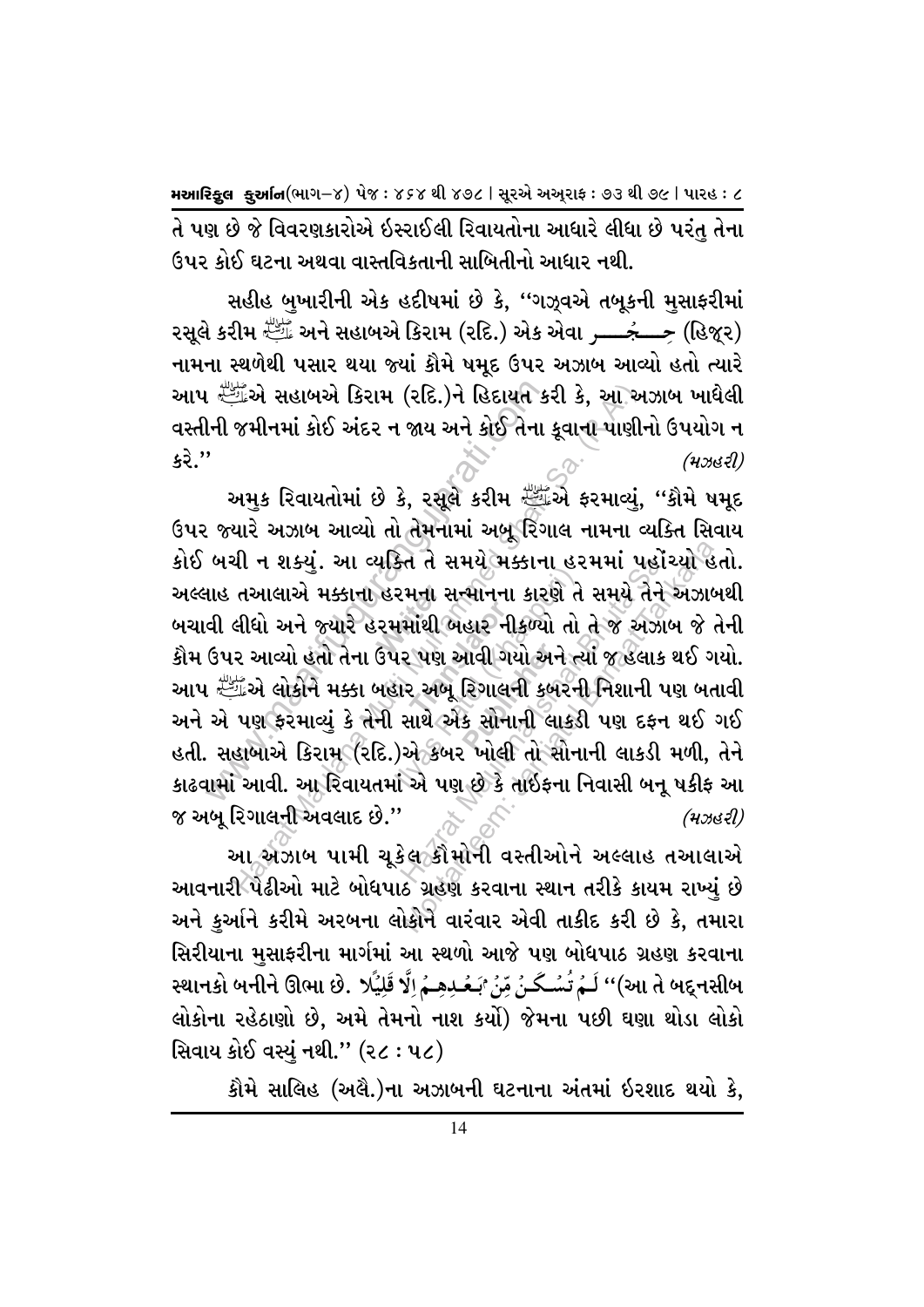તે પણ છે જે વિવરણકારોએ ઇસ્રાઈલી રિવાયતોના આધારે લીધા છે પરંતુ તેના ઉપર કોઈ ઘટના અથવા વાસ્તવિકતાની સાબિતીનો આધાર નથી.

સહીહ બુખારીની એક હદીષમાં છે કે, ''ગઝૂવએ તબૂકની મુસાફરીમાં રસૂલે કરીમ ﷺ અને સહાબએ કિરામ (રદિ.) એક એવા جَئِيٍّ (હિજૂર) નામના સ્થળેથી પસાર થયા જ્યાં કૌમે ષમદ ઉપર અઝાબ આવ્યો હતો ત્યારે આપ સ્ટેંકએ સહાબએ કિરામ (રદિ.)ને હિદાયત કરી કે, આ અઝાબ ખાઘેલી વસ્તીની જમીનમાં કોઈ અંદર ન જાય અને કોઈ તેના કૂવાના પાણીનો ઉપયોગ ન  $32.$ "  $(4,383)$ 

અમુક રિવાયતોમાં છે કે, રસૂલે કરીમ ﷺએ ફરમાવ્યું, ''કૌમે ષમૂદ ઉપર જ્યારે અઝાબ આવ્યો તો તેમનામાં અબૂ રિંગાલ નામના વ્યક્તિ સિવાય કોઈ બચી ન શક્યં. આ વ્યક્તિ તે સમયે મક્કાના હરમમાં પહોંચ્યો હતો. અલ્લાહ તઆલાએ મક્કાના હરમના સન્માનના કારણે તે સમયે તેને અઝાબથી બચાવી લીધો અને જ્યારે હરમમાંથી બહાર નીકળ્યો તો તે જ અઝાબ જે તેની કૌમ ઉપર આવ્યો હતો તેના ઉપર પણ આવી ગયો અને ત્યાં જ હલાક થઈ ગયો. આપ સ્ટેર્કેએ લોકોને મક્કા બહાર અબૂ રિગાલની કબરની નિશાની પણ બતાવી અને એ પણ ફરમાવ્યું કે તેની સાથે એક સોનાની લાકડી પણ દફન થઈ ગઈ હતી. સહાબાએ કિરામ (રદિ.)એ કબર ખોલી તો સોનાની લાકડી મળી, તેને કાઢવામાં આવી. આ રિવાયતમાં એ પણ છે કે તાઇફના નિવાસી બનૂ ષકીફ આ જ અબુ રિગાલની અવલાદ છે."  $(4, 362)$ 

આ અઝાબ પામી ચૂકેલ કૌમોની વસ્તીઓને અલ્લાહ તઆલાએ આવનારી પેઢીઓ માટે બોધપાઠ ગ્રહણ કરવાના સ્થાન તરીકે કાયમ રાખ્યું છે અને કુર્આને કરીમે અરબના લોકોને વારંવાર એવી તાકીદ કરી છે કે, તમારા સિરીયાના મસાફરીના માર્ગમાં આ સ્થળો આજે પણ બોધપાઠ ગ્રહણ કરવાના આનકો બનીને ઊભા છે. كُنْ مِنْ ٱبَـعۡـٰدِهِـمُ إِلَّا قَلِيَٰلًا ﴾ સ્થાનકો બનીને ઊભા છે. ﴿ وَلَا يَعۡل લોકોના રહેઠાણો છે. અમે તેમનો નાશ કર્યો) જેમના પછી ઘણા થોડા લોકો સિવાય કોઈ વસ્યું નથી." (૨૮: ૫૮)

કૌમે સાલિહ (અલૈ.)ના અઝાબની ઘટનાના અંતમાં ઇરશાદ થયો કે,